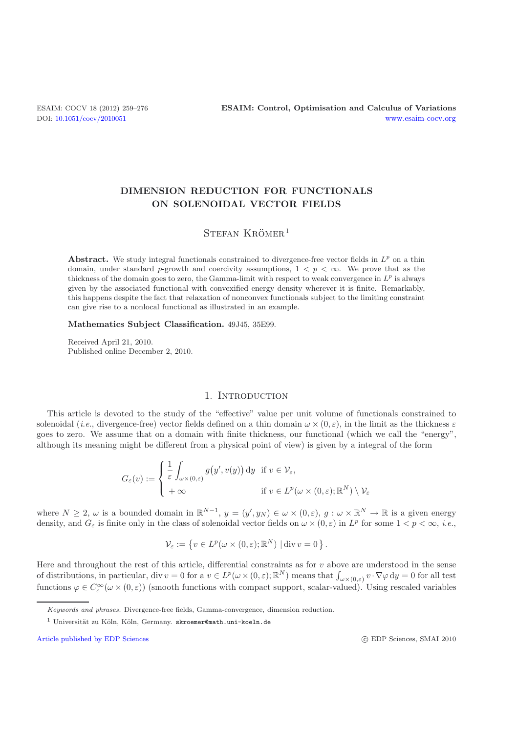# **DIMENSION REDUCTION FOR FUNCTIONALS ON SOLENOIDAL VECTOR FIELDS**

## $S$ TEFAN KRÖMER<sup>1</sup>

**Abstract.** We study integral functionals constrained to divergence-free vector fields in *L<sup>p</sup>* on a thin domain, under standard *p*-growth and coercivity assumptions,  $1 < p < \infty$ . We prove that as the thickness of the domain goes to zero, the Gamma-limit with respect to weak convergence in  $L^p$  is always given by the associated functional with convexified energy density wherever it is finite. Remarkably, this happens despite the fact that relaxation of nonconvex functionals subject to the limiting constraint can give rise to a nonlocal functional as illustrated in an example.

#### **Mathematics Subject Classification.** 49J45, 35E99.

Received April 21, 2010. Published online December 2, 2010.

### 1. INTRODUCTION

This article is devoted to the study of the "effective" value per unit volume of functionals constrained to solenoidal (*i.e.*, divergence-free) vector fields defined on a thin domain  $\omega \times (0, \varepsilon)$ , in the limit as the thickness  $\varepsilon$ goes to zero. We assume that on a domain with finite thickness, our functional (which we call the "energy", although its meaning might be different from a physical point of view) is given by a integral of the form

$$
G_{\varepsilon}(v) := \begin{cases} \frac{1}{\varepsilon} \int_{\omega \times (0,\varepsilon)} g(y', v(y)) \, dy & \text{if } v \in \mathcal{V}_{\varepsilon}, \\ +\infty & \text{if } v \in L^p(\omega \times (0,\varepsilon); \mathbb{R}^N) \setminus \mathcal{V}_{\varepsilon} \end{cases}
$$

where  $N \geq 2$ ,  $\omega$  is a bounded domain in  $\mathbb{R}^{N-1}$ ,  $y = (y', y_N) \in \omega \times (0, \varepsilon)$ ,  $g : \omega \times \mathbb{R}^N \to \mathbb{R}$  is a given energy density and  $G$  is finite only in the class of solanoidal vector fields on  $\omega \times (0, \varepsilon)$  in density, and  $G_{\varepsilon}$  is finite only in the class of solenoidal vector fields on  $\omega \times (0,\varepsilon)$  in  $L^p$  for some  $1 < p < \infty$ , *i.e.*,

$$
\mathcal{V}_{\varepsilon} := \left\{ v \in L^p(\omega \times (0, \varepsilon); \mathbb{R}^N) \mid \text{div } v = 0 \right\}.
$$

Here and throughout the rest of this article, differential constraints as for v above are understood in the sense<br>of distributions in particular, div  $v = 0$  for a  $v \in L^p(\omega) \times (0, \varepsilon) \cdot \mathbb{R}^N$  means that  $\int_{-\infty}^{\infty} v \$ of distributions, in particular, div  $v = 0$  for a  $v \in L^p(\omega \times (0, \varepsilon); \mathbb{R}^N)$  means that  $\int_{\omega \times (0, \varepsilon)} v \cdot \nabla \varphi \, dy = 0$  for all test<br>functions  $\varphi \in C^\infty(\omega \times (0, \varepsilon))$  (greath functions with connect support scalar val functions  $\varphi \in C_c^{\infty}(\omega \times (0,\varepsilon))$  (smooth functions with compact support, scalar-valued). Using rescaled variables

Keywords and phrases. Divergence-free fields, Gamma-convergence, dimension reduction.

<sup>&</sup>lt;sup>1</sup> Universität zu Köln, Köln, Germany. skroemer@math.uni-koeln.de

[Article published by EDP Sciences](http://www.edpsciences.org)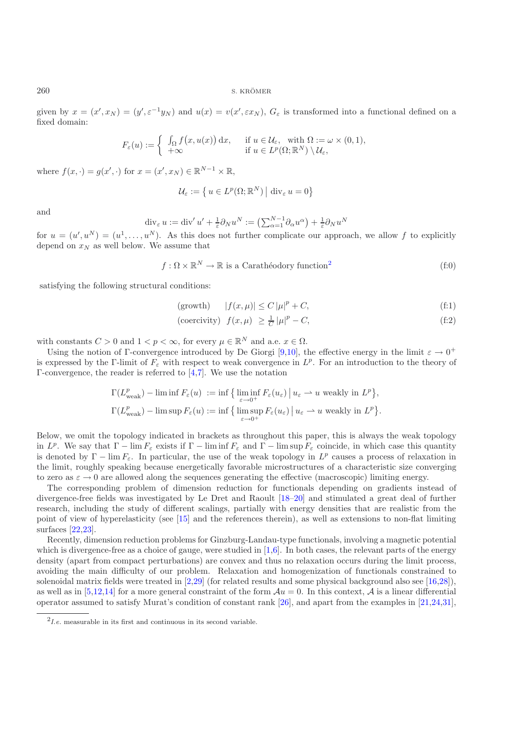given by  $x = (x', x_N) = (y', \varepsilon^{-1}y_N)$  and  $u(x) = v(x', \varepsilon x_N)$ ,  $G_{\varepsilon}$  is transformed into a functional defined on a functional defined on a fixed domain:

$$
F_{\varepsilon}(u) := \begin{cases} \int_{\Omega} f(x, u(x)) dx, & \text{if } u \in \mathcal{U}_{\varepsilon}, \text{ with } \Omega := \omega \times (0, 1), \\ +\infty & \text{if } u \in L^{p}(\Omega; \mathbb{R}^{N}) \setminus \mathcal{U}_{\varepsilon}, \end{cases}
$$

where  $f(x, \cdot) = g(x', \cdot)$  for  $x = (x', x_N) \in \mathbb{R}^{N-1} \times \mathbb{R}$ ,

$$
\mathcal{U}_{\varepsilon} := \left\{ u \in L^p(\Omega; \mathbb{R}^N) \, \middle| \, \mathrm{div}_{\varepsilon} \, u = 0 \right\}
$$

and

$$
\operatorname{div}_{\varepsilon} u := \operatorname{div}' u' + \frac{1}{\varepsilon} \partial_N u^N := \left( \sum_{\alpha=1}^{N-1} \partial_{\alpha} u^{\alpha} \right) + \frac{1}{\varepsilon} \partial_N u^N
$$

for  $u = (u', u^N) = (u^1, \dots, u^N)$ . As this does not further complicate our approach, we allow f to explicitly depend on  $x_N$  as well below. We assume that depend on  $x_N$  as well below. We assume that

$$
f: \Omega \times \mathbb{R}^N \to \mathbb{R} \text{ is a Carathéodory function}^2
$$
 (f:0)

satisfying the following structural conditions:

<span id="page-1-3"></span><span id="page-1-1"></span>
$$
|f(x,\mu)| \le C |\mu|^p + C,\tag{f:1}
$$

<span id="page-1-2"></span>
$$
\text{(coercivity)} \quad f(x,\mu) \ge \frac{1}{C} \left| \mu \right|^p - C,\tag{f:2}
$$

with constants  $C > 0$  and  $1 < p < \infty$ , for every  $\mu \in \mathbb{R}^N$  and a.e.  $x \in \Omega$ .

Using the notion of Γ-convergence introduced by De Giorgi [\[9](#page-17-0)[,10\]](#page-17-1), the effective energy in the limit  $\varepsilon \to 0^+$ is expressed by the Γ-limit of  $F_{\varepsilon}$  with respect to weak convergence in  $L^p$ . For an introduction to the theory of Γ-convergence, the reader is referred to [\[4](#page-17-2)[,7\]](#page-17-3). We use the notation

$$
\Gamma(L_{\text{weak}}^p) - \liminf F_{\varepsilon}(u) := \inf \{ \liminf_{\varepsilon \to 0^+} F_{\varepsilon}(u_{\varepsilon}) \mid u_{\varepsilon} \to u \text{ weakly in } L^p \},
$$
  

$$
\Gamma(L_{\text{weak}}^p) - \limsup F_{\varepsilon}(u) := \inf \{ \limsup_{\varepsilon \to 0^+} F_{\varepsilon}(u_{\varepsilon}) \mid u_{\varepsilon} \to u \text{ weakly in } L^p \}.
$$

Below, we omit the topology indicated in brackets as throughout this paper, this is always the weak topology in  $L^p$ . We say that  $\Gamma - \lim F_{\epsilon}$  exists if  $\Gamma - \liminf F_{\epsilon}$  and  $\Gamma - \limsup F_{\epsilon}$  coincide, in which case this quantity is denoted by  $\Gamma - \lim F_{\varepsilon}$ . In particular, the use of the weak topology in  $L^p$  causes a process of relaxation in the limit, roughly speaking because energetically favorable microstructures of a characteristic size converging to zero as  $\varepsilon \to 0$  are allowed along the sequences generating the effective (macroscopic) limiting energy.

The corresponding problem of dimension reduction for functionals depending on gradients instead of divergence-free fields was investigated by Le Dret and Raoult [\[18](#page-17-4)[–20\]](#page-17-5) and stimulated a great deal of further research, including the study of different scalings, partially with energy densities that are realistic from the point of view of hyperelasticity (see [\[15\]](#page-17-6) and the references therein), as well as extensions to non-flat limiting surfaces [\[22](#page-17-7)[,23](#page-17-8)].

Recently, dimension reduction problems for Ginzburg-Landau-type functionals, involving a magnetic potential which is divergence-free as a choice of gauge, were studied in  $[1,6]$  $[1,6]$ . In both cases, the relevant parts of the energy density (apart from compact perturbations) are convex and thus no relaxation occurs during the limit process, avoiding the main difficulty of our problem. Relaxation and homogenization of functionals constrained to solenoidal matrix fields were treated in [\[2](#page-16-1)[,29](#page-17-10)] (for related results and some physical background also see [\[16](#page-17-11)[,28\]](#page-17-12)), as well as in [\[5](#page-17-13)[,12](#page-17-14)[,14\]](#page-17-15) for a more general constraint of the form  $Au = 0$ . In this context, A is a linear differential operator assumed to satisfy Murat's condition of constant rank [\[26\]](#page-17-16), and apart from the examples in [\[21](#page-17-17)[,24](#page-17-18)[,31\]](#page-17-19),

<span id="page-1-0"></span> $^{2}$ *I.e.* measurable in its first and continuous in its second variable.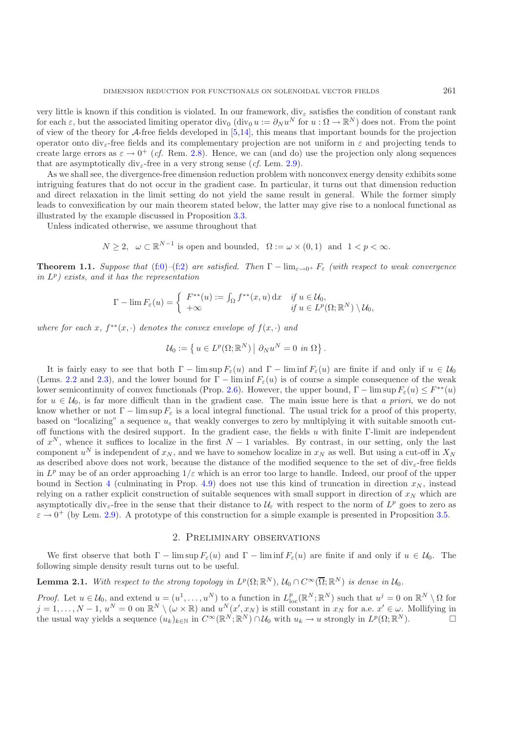very little is known if this condition is violated. In our framework,  $\mathrm{div}_{\varepsilon}$  satisfies the condition of constant rank for each  $\varepsilon$ , but the associated limiting operator div<sub>0</sub> (div<sub>0</sub> u :=  $\partial_N u^N$  for  $u : \Omega \to \mathbb{R}^N$ ) does not. From the point of view of the theory for A-free fields developed in [\[5](#page-17-13)[,14\]](#page-17-15), this means that important bounds for the projection operator onto div<sub>e</sub>-free fields and its complementary projection are not uniform in  $\varepsilon$  and projecting tends to create large errors as  $\varepsilon \to 0^+$  (*cf.* Rem. [2.8\)](#page-4-0). Hence, we can (and do) use the projection only along sequences that are asymptotically div<sub>e</sub>-free in a very strong sense (*cf.* Lem. [2.9\)](#page-4-1).

As we shall see, the divergence-free dimension reduction problem with nonconvex energy density exhibits some intriguing features that do not occur in the gradient case. In particular, it turns out that dimension reduction and direct relaxation in the limit setting do not yield the same result in general. While the former simply leads to convexification by our main theorem stated below, the latter may give rise to a nonlocal functional as illustrated by the example discussed in Proposition [3.3.](#page-3-0)

Unless indicated otherwise, we assume throughout that

 $N \geq 2$ ,  $\omega \subset \mathbb{R}^{N-1}$  is open and bounded,  $\Omega := \omega \times (0, 1)$  and  $1 < p < \infty$ .

<span id="page-2-1"></span>**Theorem 1.1.** *Suppose that* [\(f:0\)](#page-1-1)–[\(f:2\)](#page-1-2) *are satisfied.* Then  $\Gamma$  –  $\lim_{\varepsilon \to 0^+} F_{\varepsilon}$  *(with respect to weak convergence in* <sup>L</sup><sup>p</sup>*) exists, and it has the representation*

$$
\Gamma - \lim F_{\varepsilon}(u) = \begin{cases} F^{**}(u) := \int_{\Omega} f^{**}(x, u) dx & \text{if } u \in \mathcal{U}_0, \\ +\infty & \text{if } u \in L^p(\Omega; \mathbb{R}^N) \setminus \mathcal{U}_0, \end{cases}
$$

*where for each*  $x, f^{**}(x, \cdot)$  *denotes the convex envelope of*  $f(x, \cdot)$  *and* 

$$
\mathcal{U}_0 := \left\{ u \in L^p(\Omega; \mathbb{R}^N) \middle| \partial_N u^N = 0 \text{ in } \Omega \right\}.
$$

It is fairly easy to see that both  $\Gamma$  – lim sup  $F_{\varepsilon}(u)$  and  $\Gamma$  – lim inf  $F_{\varepsilon}(u)$  are finite if and only if  $u \in \mathcal{U}_0$ (Lems. [2.2](#page-2-0) and [2.3\)](#page-3-0), and the lower bound for  $\Gamma$  – lim inf  $F_{\varepsilon}(u)$  is of course a simple consequence of the weak lower semicontinuity of convex functionals (Prop. [2.6\)](#page-3-1). However, the upper bound,  $\Gamma - \limsup F_{\varepsilon}(u) \leq F^{**}(u)$ for  $u \in \mathcal{U}_0$ , is far more difficult than in the gradient case. The main issue here is that *a priori*, we do not know whether or not  $\Gamma$  – lim sup  $F_{\varepsilon}$  is a local integral functional. The usual trick for a proof of this property, based on "localizing" a sequence  $u_{\varepsilon}$  that weakly converges to zero by multiplying it with suitable smooth cutoff functions with the desired support. In the gradient case, the fields u with finite Γ-limit are independent of  $x^N$ , whence it suffices to localize in the first  $N-1$  variables. By contrast, in our setting, only the last component  $u^N$  is independent of  $x_N$ , and we have to somehow localize in  $x_N$  as well. But using a cut-off in  $X_N$ as described above does not work, because the distance of the modified sequence to the set of div $_{\epsilon}$ -free fields in  $L^p$  may be of an order approaching  $1/\varepsilon$  which is an error too large to handle. Indeed, our proof of the upper bound in Section [4](#page-8-0) (culminating in Prop. [4.9\)](#page-4-1) does not use this kind of truncation in direction  $x_N$ , instead relying on a rather explicit construction of suitable sequences with small support in direction of  $x_N$  which are asymptotically div<sub> $\varepsilon$ </sub>-free in the sense that their distance to  $\mathcal{U}_{\varepsilon}$  with respect to the norm of  $L^p$  goes to zero as  $\varepsilon \to 0^+$  (by Lem. [2.9\)](#page-4-1). A prototype of this construction for a simple example is presented in Proposition [3.5.](#page-3-2)

## 2. Preliminary observations

We first observe that both  $\Gamma$  – lim sup  $F_{\varepsilon}(u)$  and  $\Gamma$  – lim inf  $F_{\varepsilon}(u)$  are finite if and only if  $u \in \mathcal{U}_0$ . The following simple density result turns out to be useful.

# **Lemma 2.1.** *With respect to the strong topology in*  $L^p(\Omega; \mathbb{R}^N)$ ,  $\mathcal{U}_0 \cap C^\infty(\overline{\Omega}; \mathbb{R}^N)$  *is dense in*  $\mathcal{U}_0$ *.*

<span id="page-2-0"></span>*Proof.* Let  $u \in \mathcal{U}_0$ , and extend  $u = (u^1, \ldots, u^N)$  to a function in  $L_{loc}^p(\mathbb{R}^N; \mathbb{R}^N)$  such that  $u^j = 0$  on  $\mathbb{R}^N \setminus \Omega$  for  $i = 1, \ldots, N-1, u^N = 0$  on  $\mathbb{R}^N \setminus (\omega \times \mathbb{R})$  and  $u^N(x', x_N)$  is still consta  $j = 1, \ldots, N-1, u^N = 0$  on  $\mathbb{R}^N \setminus (\omega \times \mathbb{R})$  and  $u^N(x', x_N)$  is still constant in  $x_N$  for a.e.  $x' \in \omega$ . Mollifying in the usual way viable a sequence  $(u_1)_{i \in \mathbb{N}}$  in  $C^\infty(\mathbb{R}^N) \cap \mathcal{U}_0$  with  $u_i \to u$  strongly the usual way yields a sequence  $(u_k)_{k\in\mathbb{N}}$  in  $C^{\infty}(\mathbb{R}^N;\mathbb{R}^N) \cap \mathcal{U}_0$  with  $u_k \to u$  strongly in  $L^p(\Omega;\mathbb{R}^N)$ .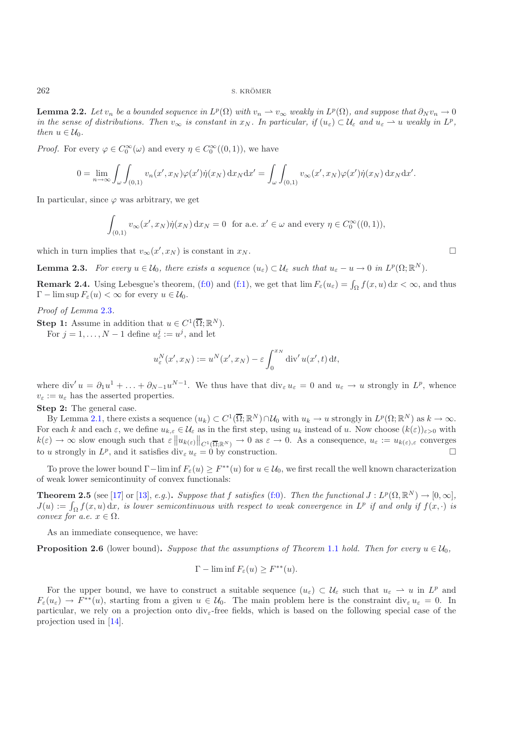**Lemma 2.2.** *Let*  $v_n$  *be a bounded sequence in*  $L^p(\Omega)$  *with*  $v_n \to v_\infty$  *weakly in*  $L^p(\Omega)$ *, and suppose that*  $\partial_N v_n \to 0$ *in the sense of distributions. Then*  $v_{\infty}$  *is constant in*  $x_N$ *. In particular, if*  $(u_{\varepsilon}) \subset \mathcal{U}_{\varepsilon}$  *and*  $u_{\varepsilon} \to u$  *weakly in*  $L^p$ *, then*  $u \in \mathcal{U}_0$ .

*Proof.* For every  $\varphi \in C_0^{\infty}(\omega)$  and every  $\eta \in C_0^{\infty}((0,1))$ , we have

$$
0 = \lim_{n \to \infty} \int_{\omega} \int_{(0,1)} v_n(x',x_N) \varphi(x') \dot{\eta}(x_N) dx_N dx' = \int_{\omega} \int_{(0,1)} v_{\infty}(x',x_N) \varphi(x') \dot{\eta}(x_N) dx_N dx'.
$$

In particular, since  $\varphi$  was arbitrary, we get

$$
\int_{(0,1)} v_{\infty}(x',x_N)\dot{\eta}(x_N) dx_N = 0 \text{ for a.e. } x' \in \omega \text{ and every } \eta \in C_0^{\infty}((0,1)),
$$

which in turn implies that  $v_{\infty}(x', x_N)$  is constant in  $x_N$ .

<span id="page-3-0"></span>**Lemma 2.3.** *For every*  $u \in \mathcal{U}_0$ *, there exists a sequence*  $(u_{\varepsilon}) \subset \mathcal{U}_{\varepsilon}$  *such that*  $u_{\varepsilon} - u \to 0$  *in*  $L^p(\Omega; \mathbb{R}^N)$ *.* 

**Remark 2.4.** Using Lebesgue's theorem, [\(f:0\)](#page-1-1) and [\(f:1\)](#page-1-3), we get that  $\lim F_{\varepsilon}(u_{\varepsilon}) = \int_{\Omega} f(x, u) dx < \infty$ , and thus  $\Gamma = \limsup F(u) < \infty$  for every  $u \in \mathcal{U}$  $\Gamma$  –  $\limsup F_{\varepsilon}(u) < \infty$  for every  $u \in \mathcal{U}_0$ .

*Proof of Lemma* [2.3](#page-3-0)*.*

**Step 1:** Assume in addition that  $u \in C^1(\overline{\Omega}; \mathbb{R}^N)$ .

For  $j = 1, ..., N - 1$  define  $u_{\varepsilon}^{j} := u^{j}$ , and let

$$
u_{\varepsilon}^{N}(x',x_{N}) := u^{N}(x',x_{N}) - \varepsilon \int_{0}^{x_{N}} \operatorname{div}' u(x',t) dt,
$$

where div'  $u = \partial_1 u^1 + \ldots + \partial_{N-1} u^{N-1}$ . We thus have that  $\text{div}_{\varepsilon} u_{\varepsilon} = 0$  and  $u_{\varepsilon} \to u$  strongly in  $L^p$ , whence  $v_{\varepsilon} := u_{\varepsilon}$  has the asserted properties.

**Step 2:** The general case.

By Lemma [2.1,](#page-2-1) there exists a sequence  $(u_k) \subset C^1(\overline{\Omega}; \mathbb{R}^N) \cap \mathcal{U}_0$  with  $u_k \to u$  strongly in  $L^p(\Omega; \mathbb{R}^N)$  as  $k \to \infty$ . For each k and each  $\varepsilon$ , we define  $u_{k,\varepsilon} \in \mathcal{U}_{\varepsilon}$  as in the first step, using  $u_k$  instead of u. Now choose  $(k(\varepsilon))_{\varepsilon>0}$  with  $k(\varepsilon) \to \infty$  slow enough such that  $\varepsilon \| u_{k(\varepsilon)} \|_{C^1(\overline{\Omega};\mathbb{R}^N)} \to 0$  as  $\varepsilon \to 0$ . As a consequence,  $u_{\varepsilon} := u_{k(\varepsilon),\varepsilon}$  converges to u strongly in  $L^p$ , and it satisfies div<sub> $\varepsilon$ </sub>  $u_{\varepsilon} = 0$  by construction.  $\Box$ 

<span id="page-3-2"></span>To prove the lower bound  $\Gamma-\liminf F_{\varepsilon}(u) \geq F^{**}(u)$  for  $u \in \mathcal{U}_0$ , we first recall the well known characterization of weak lower semicontinuity of convex functionals:

**Theorem 2.5** (see [\[17\]](#page-17-20) or [\[13\]](#page-17-21), *e.g.*). *Suppose that* f *satisfies* [\(f:0\)](#page-1-1). Then the functional  $J: L^p(\Omega, \mathbb{R}^N) \to [0, \infty]$ ,  $J(u) := \int_{\Omega} f(x, u) dx$ , is lower semicontinuous with respect to weak convergence in  $L^p$  if and only if  $f(x, \cdot)$  is<br>convergence in  $\Omega^p$  if and only if  $f(x, \cdot)$  is *convex for a.e.*  $x \in \Omega$ *.* 

As an immediate consequence, we have:

<span id="page-3-1"></span>**Proposition 2.6** (lower bound). *Suppose that the assumptions of Theorem* [1.1](#page-2-1) *hold. Then for every*  $u \in U_0$ ,

$$
\Gamma-\liminf F_{\varepsilon}(u) \geq F^{**}(u).
$$

<span id="page-3-3"></span>For the upper bound, we have to construct a suitable sequence  $(u_{\varepsilon}) \subset \mathcal{U}_{\varepsilon}$  such that  $u_{\varepsilon} \to u$  in  $L^p$  and  $F_{\varepsilon}(u_{\varepsilon}) \to F^{**}(u)$ , starting from a given  $u \in \mathcal{U}_0$ . The main problem here is the constraint div<sub> $\varepsilon$ </sub>  $u_{\varepsilon} = 0$ . In particular, we rely on a projection onto  $\text{div}_{\varepsilon}$ -free fields, which is based on the following special case of the projection used in [\[14\]](#page-17-15).

 $\Box$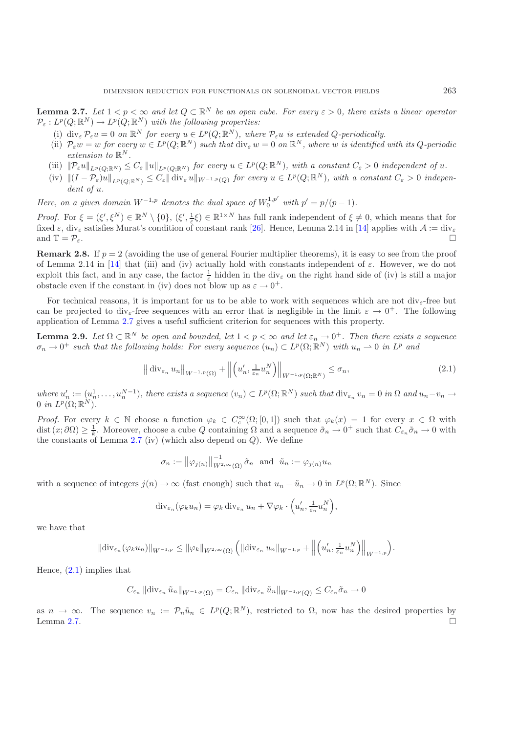**Lemma 2.7.** *Let*  $1 < p < \infty$  *and let*  $Q \subset \mathbb{R}^N$  *be an open cube. For every*  $\epsilon > 0$ *, there exists a linear operator*  $P_{\varepsilon}: L^p(Q; \mathbb{R}^N) \to L^p(Q; \mathbb{R}^N)$  *with the following properties:* 

- (i)  $\text{div}_{\varepsilon} \mathcal{P}_{\varepsilon} u = 0$  *on*  $\mathbb{R}^N$  *for every*  $u \in L^p(Q; \mathbb{R}^N)$ *, where*  $\mathcal{P}_{\varepsilon} u$  *is extended*  $Q$ -periodically.
- (ii)  $P_{\varepsilon}w = w$  *for every*  $w \in L^p(Q; \mathbb{R}^N)$  *such that*  $\text{div}_{\varepsilon}w = 0$  *on*  $\mathbb{R}^N$ *, where w is identified with its Q-periodic extension to*  $\mathbb{R}^N$ *.*
- 
- (iii)  $\|\mathcal{P}_{\varepsilon}u\|_{L^p(Q;\mathbb{R}^N)} \leq C_{\varepsilon} \|u\|_{L^p(Q;\mathbb{R}^N)}$  for every  $u \in L^p(Q;\mathbb{R}^N)$ , with a constant  $C_{\varepsilon} > 0$  independent of u.<br>(iv)  $\|(I \mathcal{P}_{\varepsilon})u\|_{L^p(Q;\mathbb{R}^N)} \leq C_{\varepsilon} \|\text{div}_{\varepsilon}u\|_{W^{-1,p}(Q)}$  for ev *dent of* u*.*

*Here, on a given domain*  $W^{-1,p}$  *denotes the dual space of*  $W_0^{1,p'}$  *with*  $p' = p/(p-1)$ *.* 

*Proof.* For  $\xi = (\xi', \xi^N) \in \mathbb{R}^N \setminus \{0\}, (\xi', \frac{1}{\varepsilon}\xi) \in \mathbb{R}^{1 \times N}$  has full rank independent of  $\xi \neq 0$ , which means that for<br>fixed  $\varepsilon$  div satisfies Murat's condition of constant rank [26]. Hence, Lemma 2.14 i fixed  $\varepsilon$ , div<sub> $\varepsilon$ </sub> satisfies Murat's condition of constant rank [\[26\]](#page-17-16). Hence, Lemma 2.14 in [\[14](#page-17-15)] applies with  $\mathcal{A} := \text{div}_{\varepsilon}$ <br>  $\square$ and  $\mathbb{T} = \mathcal{P}_{\varepsilon}$ .  $\Box$ 

<span id="page-4-0"></span>**Remark 2.8.** If  $p = 2$  (avoiding the use of general Fourier multiplier theorems), it is easy to see from the proof of Lemma 2.14 in [\[14\]](#page-17-15) that (iii) and (iv) actually hold with constants independent of  $\varepsilon$ . However, we do not exploit this fact, and in any case, the factor  $\frac{1}{\varepsilon}$  hidden in the div<sub> $\varepsilon$ </sub> on the right hand side of (iv) is still a major obstacle even if the constant in (iv) does not blow up as  $\varepsilon \to 0^+$ .

For technical reasons, it is important for us to be able to work with sequences which are not divε-free but can be projected to div<sub>e</sub>-free sequences with an error that is negligible in the limit  $\varepsilon \to 0^+$ . The following application of Lemma [2.7](#page-3-3) gives a useful sufficient criterion for sequences with this property.

<span id="page-4-1"></span>**Lemma 2.9.** *Let*  $\Omega \subset \mathbb{R}^N$  *be open and bounded, let*  $1 < p < \infty$  *and let*  $\varepsilon_n \to 0^+$ *. Then there exists a sequence*  $\sigma \to 0^+$  *such that the following holds: For every sequence*  $(u \to \infty, \mathbb{R}^N)$  *with*  $u \to 0$  $\sigma_n \to 0^+$  *such that the following holds: For every sequence*  $(u_n) \subset L^p(\Omega; \mathbb{R}^N)$  *with*  $u_n \to 0$  *in*  $L^p$  *and* 

$$
\left\| \operatorname{div}_{\varepsilon_n} u_n \right\|_{W^{-1,p}(\Omega)} + \left\| \left( u_n', \frac{1}{\varepsilon_n} u_n^N \right) \right\|_{W^{-1,p}(\Omega; \mathbb{R}^N)} \le \sigma_n,
$$
\n(2.1)

where  $u'_n := (u_n^1, \ldots, u_n^{N-1})$ , there exists a sequence  $(v_n) \subset L^p(\Omega; \mathbb{R}^N)$  such that  $\text{div}_{\varepsilon_n} v_n = 0$  in  $\Omega$  and  $u_n - v_n \to 0$  in  $L^p(\Omega; \mathbb{R}^N)$  $0$  *in*  $L^p(\Omega;\mathbb{R}^N)$ .

*Proof.* For every  $k \in \mathbb{N}$  choose a function  $\varphi_k \in C_c^{\infty}(\Omega; [0,1])$  such that  $\varphi_k(x) = 1$  for every  $x \in \Omega$  with dist  $(x, \partial\Omega) > 1$ . Moreover, choose a cube Q containing Q and a sequence  $\tilde{\sigma} \to 0^+$  such that  $C \tilde$ dist  $(x; \partial \Omega) \geq \frac{1}{k}$ . Moreover, choose a cube Q containing  $\Omega$  and a sequence  $\tilde{\sigma}_n \to 0^+$  such that  $C_{\varepsilon_n} \tilde{\sigma}_n \to 0$  with the constants of Lemma 2.7 (iv) (which also depend on Q). We define the constants of Lemma  $2.7$  (iv) (which also depend on  $Q$ ). We define

<span id="page-4-2"></span>
$$
\sigma_n := \left\|\varphi_{j(n)}\right\|_{W^{2,\infty}(\Omega)}^{-1} \tilde{\sigma}_n \text{ and } \tilde{u}_n := \varphi_{j(n)} u_n
$$

with a sequence of integers  $j(n) \to \infty$  (fast enough) such that  $u_n - \tilde{u}_n \to 0$  in  $L^p(\Omega; \mathbb{R}^N)$ . Since

$$
\operatorname{div}_{\varepsilon_n}(\varphi_k u_n) = \varphi_k \operatorname{div}_{\varepsilon_n} u_n + \nabla \varphi_k \cdot \left(u'_n, \frac{1}{\varepsilon_n} u_n^N\right),
$$

we have that

$$
\|\text{div}_{\varepsilon_n}(\varphi_k u_n)\|_{W^{-1,p}} \le \|\varphi_k\|_{W^{2,\infty}(\Omega)} \left( \|\text{div}_{\varepsilon_n} u_n\|_{W^{-1,p}} + \left\|\left(u_n', \frac{1}{\varepsilon_n} u_n^N\right)\right\|_{W^{-1,p}} \right).
$$

Hence, [\(2.1\)](#page-4-2) implies that

$$
C_{\varepsilon_n} ||div_{\varepsilon_n} \tilde{u}_n||_{W^{-1,p}(\Omega)} = C_{\varepsilon_n} ||div_{\varepsilon_n} \tilde{u}_n||_{W^{-1,p}(Q)} \leq C_{\varepsilon_n} \tilde{\sigma}_n \to 0
$$

as  $n \to \infty$ . The sequence  $v_n := \mathcal{P}_n\tilde{u}_n \in L^p(Q;\mathbb{R}^N)$ , restricted to  $\Omega$ , now has the desired properties by Lemma 2.7. Lemma [2.7.](#page-3-3)  $\Box$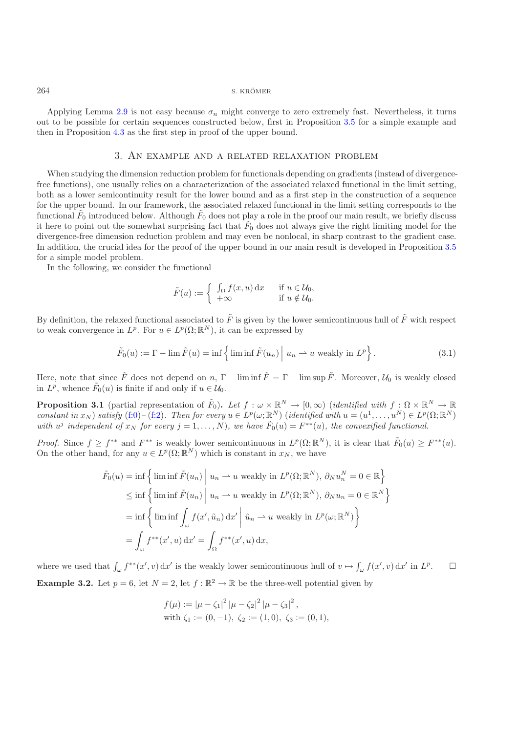Applying Lemma [2.9](#page-4-1) is not easy because  $\sigma_n$  might converge to zero extremely fast. Nevertheless, it turns out to be possible for certain sequences constructed below, first in Proposition [3.5](#page-3-2) for a simple example and then in Proposition [4.3](#page-3-0) as the first step in proof of the upper bound.

### 3. An example and a related relaxation problem

When studying the dimension reduction problem for functionals depending on gradients (instead of divergencefree functions), one usually relies on a characterization of the associated relaxed functional in the limit setting, both as a lower semicontinuity result for the lower bound and as a first step in the construction of a sequence for the upper bound. In our framework, the associated relaxed functional in the limit setting corresponds to the functional  $\tilde{F}_0$  introduced below. Although  $\tilde{F}_0$  does not play a role in the proof our main result, we briefly discuss it here to point out the somewhat surprising fact that  $\tilde{F}_0$  does not always give the right limiting model for the divergence-free dimension reduction problem and may even be nonlocal, in sharp contrast to the gradient case. In addition, the crucial idea for the proof of the upper bound in our main result is developed in Proposition [3.5](#page-3-2) for a simple model problem.

In the following, we consider the functional

$$
\tilde{F}(u) := \begin{cases} \int_{\Omega} f(x, u) dx & \text{if } u \in \mathcal{U}_0, \\ +\infty & \text{if } u \notin \mathcal{U}_0. \end{cases}
$$

By definition, the relaxed functional associated to  $\tilde{F}$  is given by the lower semicontinuous hull of  $\tilde{F}$  with respect to weak convergence in  $L^p$ . For  $u \in L^p(\Omega;\mathbb{R}^N)$ , it can be expressed by

$$
\tilde{F}_0(u) := \Gamma - \lim \tilde{F}(u) = \inf \left\{ \lim \inf \tilde{F}(u_n) \middle| u_n \to u \text{ weakly in } L^p \right\}. \tag{3.1}
$$

Here, note that since  $\tilde{F}$  does not depend on n,  $\Gamma$  – lim inf  $\tilde{F} = \Gamma$  – lim sup  $\tilde{F}$ . Moreover,  $\mathcal{U}_0$  is weakly closed in  $L^p$ , whence  $\tilde{F}_0(u)$  is finite if and only if  $u \in \mathcal{U}_0$ .

**Proposition 3.1** (partial representation of  $\tilde{F}_0$ ). Let  $f : \omega \times \mathbb{R}^N \to [0, \infty)$  (*identified with*  $f : \Omega \times \mathbb{R}^N \to \mathbb{R}$ *constant in*  $x_N$ ) *satisfy* [\(f:0\)](#page-1-1)–[\(f:2\)](#page-1-2)*.* Then for every  $u \in L^p(\omega; \mathbb{R}^N)$  (*identified with*  $u = (u^1, \ldots, u^N) \in L^p(\Omega; \mathbb{R}^N)$ *with*  $u^j$  *independent of*  $x_N$  *for every*  $j = 1, \ldots, N$ *), we have*  $\tilde{F}_0(u) = F^{**}(u)$ *, the convexified functional.* 

*Proof.* Since  $f \geq f^{**}$  and  $F^{**}$  is weakly lower semicontinuous in  $L^p(\Omega; \mathbb{R}^N)$ , it is clear that  $\tilde{F}_0(u) \geq F^{**}(u)$ . On the other hand, for any  $u \in L^p(\Omega;\mathbb{R}^N)$  which is constant in  $x_N$ , we have

$$
\tilde{F}_0(u) = \inf \left\{ \liminf \tilde{F}(u_n) \middle| u_n \to u \text{ weakly in } L^p(\Omega; \mathbb{R}^N), \ \partial_N u_n^N = 0 \in \mathbb{R} \right\}
$$
\n
$$
\leq \inf \left\{ \liminf \tilde{F}(u_n) \middle| u_n \to u \text{ weakly in } L^p(\Omega; \mathbb{R}^N), \ \partial_N u_n = 0 \in \mathbb{R}^N \right\}
$$
\n
$$
= \inf \left\{ \liminf \int_{\omega} f(x', \tilde{u}_n) dx' \middle| \ \tilde{u}_n \to u \text{ weakly in } L^p(\omega; \mathbb{R}^N) \right\}
$$
\n
$$
= \int_{\omega} f^{**}(x', u) dx' = \int_{\Omega} f^{**}(x', u) dx,
$$

where we used that  $\int_{\omega} f^{**}(x', v) dx'$  is the weakly lower semicontinuous hull of  $v \mapsto \int_{\omega} f(x', v) dx'$  in  $L^p$ .  $\Box$ **Example 3.2.** Let  $p = 6$ , let  $N = 2$ , let  $f : \mathbb{R}^2 \to \mathbb{R}$  be the three-well potential given by

$$
f(\mu) := |\mu - \zeta_1|^2 |\mu - \zeta_2|^2 |\mu - \zeta_3|^2,
$$
  
with  $\zeta_1 := (0, -1), \zeta_2 := (1, 0), \zeta_3 := (0, 1),$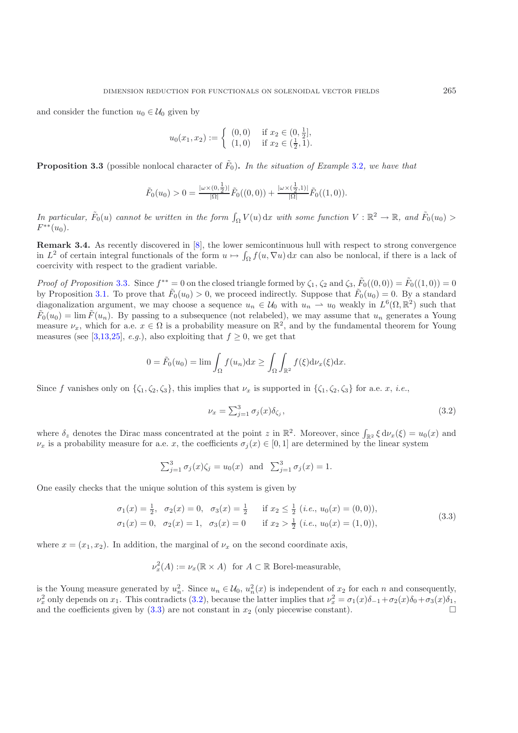and consider the function  $u_0 \in \mathcal{U}_0$  given by

$$
u_0(x_1, x_2) := \begin{cases} (0, 0) & \text{if } x_2 \in (0, \frac{1}{2}], \\ (1, 0) & \text{if } x_2 \in (\frac{1}{2}, 1). \end{cases}
$$

**Proposition 3.3** (possible nonlocal character of  $\tilde{F}_0$ ). In the situation of Example [3.2](#page-2-0), we have that

$$
\tilde{F}_0(u_0) > 0 = \frac{|\omega \times (0, \frac{1}{2})|}{|\Omega|} \tilde{F}_0((0, 0)) + \frac{|\omega \times (\frac{1}{2}, 1)|}{|\Omega|} \tilde{F}_0((1, 0)).
$$

*In particular,*  $\tilde{F}_0(u)$  *cannot be written in the form*  $\int_{\Omega} V(u) dx$  *with some function*  $V : \mathbb{R}^2 \to \mathbb{R}$ *, and*  $\tilde{F}_0(u_0) >$ <br> $F^{**}(u_0)$  $F^{**}(u_0)$ .

**Remark 3.4.** As recently discovered in [\[8\]](#page-17-22), the lower semicontinuous hull with respect to strong convergence in  $L^2$  of certain integral functionals of the form  $u \mapsto \int_{\Omega} f(u, \nabla u) dx$  can also be nonlocal, if there is a lack of correivity with respect to the gradient variable coercivity with respect to the gradient variable.

*Proof of Proposition* [3.3](#page-3-0). Since  $f^{**} = 0$  on the closed triangle formed by  $\zeta_1$ ,  $\zeta_2$  and  $\zeta_3$ ,  $\tilde{F}_0((0,0)) = \tilde{F}_0((1,0)) = 0$ by Proposition [3.1.](#page-2-1) To prove that  $\tilde{F}_0(u_0) > 0$ , we proceed indirectly. Suppose that  $\tilde{F}_0(u_0) = 0$ . By a standard diagonalization argument, we may choose a sequence  $u_n \in \mathcal{U}_0$  with  $u_n \to u_0$  weakly in  $L^6(\Omega, \mathbb{R}^2)$  such that  $\tilde{F}_0(u_0) = \lim \tilde{F}(u_n)$ . By passing to a subsequence (not relabeled), we may assume that  $u_n$  generates a Young measure  $\nu_x$ , which for a.e.  $x \in \Omega$  is a probability measure on  $\mathbb{R}^2$ , and by the fundamental theorem for Young measures (see [\[3](#page-16-2)[,13](#page-17-21)[,25\]](#page-17-23), *e.g.*), also exploiting that  $f \geq 0$ , we get that

$$
0 = \tilde{F}_0(u_0) = \lim \int_{\Omega} f(u_n) dx \ge \int_{\Omega} \int_{\mathbb{R}^2} f(\xi) d\nu_x(\xi) dx.
$$

Since f vanishes only on  $\{\zeta_1, \zeta_2, \zeta_3\}$ , this implies that  $\nu_x$  is supported in  $\{\zeta_1, \zeta_2, \zeta_3\}$  for a.e. x, *i.e.*,

<span id="page-6-1"></span><span id="page-6-0"></span>
$$
\nu_x = \sum_{j=1}^3 \sigma_j(x) \delta_{\zeta_j},\tag{3.2}
$$

where  $\delta_z$  denotes the Dirac mass concentrated at the point  $z$  in  $\mathbb{R}^2$ . Moreover, since  $\int_{\mathbb{R}^2} \xi \, d\nu_x(\xi) = u_0(x)$  and  $\nu_z$  is a probability measure for a e. x the coefficients  $\sigma_z(x) \in [0, 1]$  are determined  $\nu_x$  is a probability measure for a.e. x, the coefficients  $\sigma_i(x) \in [0, 1]$  are determined by the linear system

$$
\sum_{j=1}^{3} \sigma_j(x)\zeta_j = u_0(x)
$$
 and  $\sum_{j=1}^{3} \sigma_j(x) = 1$ .

One easily checks that the unique solution of this system is given by

$$
\sigma_1(x) = \frac{1}{2}, \quad \sigma_2(x) = 0, \quad \sigma_3(x) = \frac{1}{2} \quad \text{if } x_2 \le \frac{1}{2} \quad (i.e., \, u_0(x) = (0, 0)),
$$
  

$$
\sigma_1(x) = 0, \quad \sigma_2(x) = 1, \quad \sigma_3(x) = 0 \quad \text{if } x_2 > \frac{1}{2} \quad (i.e., \, u_0(x) = (1, 0)),
$$
\n
$$
(3.3)
$$

where  $x = (x_1, x_2)$ . In addition, the marginal of  $\nu_x$  on the second coordinate axis,

$$
\nu_x^2(A) := \nu_x(\mathbb{R} \times A) \text{ for } A \subset \mathbb{R} \text{ Borel-measurable,}
$$

is the Young measure generated by  $u_n^2$ . Since  $u_n \in \mathcal{U}_0$ ,  $u_n^2(x)$  is independent of  $x_2$  for each n and consequently,<br> $u^2$  only depends on  $x$ . This contradicts (3.2), because the latter implies that  $u^2 = \sigma_x(x)\delta_x +$  $\nu_x^2$  only depends on x<sub>1</sub>. This contradicts [\(3.2\)](#page-6-0), because the latter implies that  $\nu_x^2 = \sigma_1(x)\delta_{-1} + \sigma_2(x)\delta_0 + \sigma_3(x)\delta_1$ ,<br>and the coefficients given by (3.3) are not constant in x<sub>2</sub> (only piecewise constant) and the coefficients given by [\(3.3\)](#page-6-1) are not constant in  $x_2$  (only piecewise constant).  $\Box$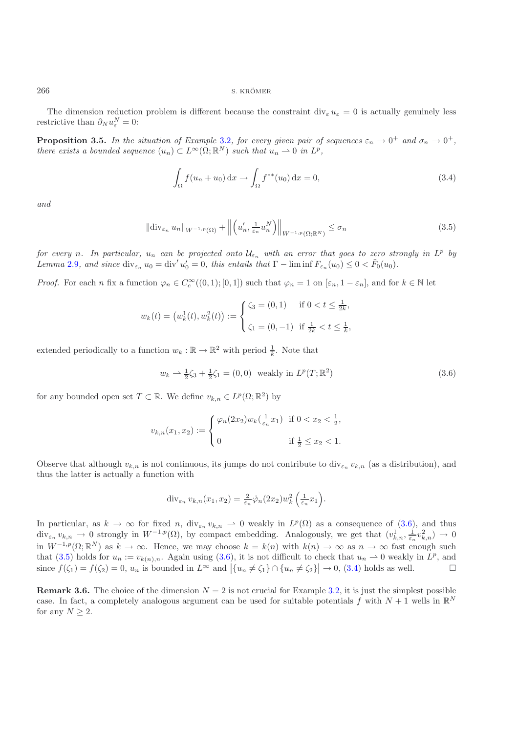The dimension reduction problem is different because the constraint div<sub>ε</sub>  $u_{\varepsilon} = 0$  is actually genuinely less restrictive than  $\partial_N u_{\varepsilon}^N = 0$ :

**Proposition 3.5.** *In the situation of Example* [3.2](#page-2-0)*, for every given pair of sequences*  $\varepsilon_n \to 0^+$  *and*  $\sigma_n \to 0^+$ *, there exists a bounded sequence*  $(u_n) \subset L^{\infty}(\Omega; \mathbb{R}^N)$  *such that*  $u_n \to 0$  *in*  $L^p$ *,* 

<span id="page-7-2"></span><span id="page-7-1"></span>
$$
\int_{\Omega} f(u_n + u_0) dx \to \int_{\Omega} f^{**}(u_0) dx = 0,
$$
\n(3.4)

*and*

$$
\|\text{div}_{\varepsilon_n} u_n\|_{W^{-1,p}(\Omega)} + \left\| \left( u'_n, \frac{1}{\varepsilon_n} u_n^N \right) \right\|_{W^{-1,p}(\Omega; \mathbb{R}^N)} \le \sigma_n \tag{3.5}
$$

*for every n.* In particular,  $u_n$  *can be projected onto*  $\mathcal{U}_{\varepsilon_n}$  *with an error that goes to zero strongly in*  $L^p$  *by Lemma* [2.9](#page-4-1)*, and since* div<sub> $\varepsilon_n$ </sub>  $u_0 = \text{div}' u'_0 = 0$ *, this entails that*  $\Gamma - \liminf F_{\varepsilon_n}(u_0) \leq 0 < \tilde{F}_0(u_0)$ *.* 

*Proof.* For each n fix a function  $\varphi_n \in C_c^{\infty}((0,1); [0,1])$  such that  $\varphi_n = 1$  on  $[\varepsilon_n, 1 - \varepsilon_n]$ , and for  $k \in \mathbb{N}$  let

$$
w_k(t) = (w_k^1(t), w_k^2(t)) := \begin{cases} \zeta_3 = (0, 1) & \text{if } 0 < t \le \frac{1}{2k}, \\ \zeta_1 = (0, -1) & \text{if } \frac{1}{2k} < t \le \frac{1}{k}, \end{cases}
$$

extended periodically to a function  $w_k : \mathbb{R} \to \mathbb{R}^2$  with period  $\frac{1}{k}$ . Note that

<span id="page-7-0"></span>
$$
w_k \rightharpoonup \frac{1}{2}\zeta_3 + \frac{1}{2}\zeta_1 = (0,0) \text{ weakly in } L^p(T; \mathbb{R}^2)
$$
\n(3.6)

for any bounded open set  $T \subset \mathbb{R}$ . We define  $v_{k,n} \in L^p(\Omega;\mathbb{R}^2)$  by

$$
v_{k,n}(x_1, x_2) := \begin{cases} \varphi_n(2x_2)w_k(\frac{1}{\varepsilon_n}x_1) & \text{if } 0 < x_2 < \frac{1}{2}, \\ 0 & \text{if } \frac{1}{2} \le x_2 < 1. \end{cases}
$$

Observe that although  $v_{k,n}$  is not continuous, its jumps do not contribute to div<sub> $\varepsilon_n$ </sub>  $v_{k,n}$  (as a distribution), and thus the latter is actually a function with

$$
\operatorname{div}_{\varepsilon_n} v_{k,n}(x_1, x_2) = \frac{2}{\varepsilon_n} \dot{\varphi}_n(2x_2) w_k^2 \left( \frac{1}{\varepsilon_n} x_1 \right).
$$

In particular, as  $k \to \infty$  for fixed n, div<sub> $\varepsilon_n$ </sub>  $v_{k,n} \to 0$  weakly in  $L^p(\Omega)$  as a consequence of [\(3.6\)](#page-7-0), and thus div  $v_n \to 0$  strongly in  $W^{-1,p}(\Omega)$  by compact embedding. Analogously we get that  $(v^1 - 1, v^2) \to 0$  $\text{div}_{\varepsilon_n} v_{k,n} \to 0$  strongly in  $W^{-1,p}(\Omega)$ , by compact embedding. Analogously, we get that  $(v_{k,n}^1, \frac{1}{\varepsilon_n} v_{k,n}^2) \to 0$ <br>in  $W^{-1,p}(\Omega)$  as  $k \to \infty$ . Hence we may shoose  $k \to \infty$  with  $h(x) \to \infty$  as  $x \to \infty$  for examp in  $W^{-1,p}(\Omega;\mathbb{R}^N)$  as  $k \to \infty$ . Hence, we may choose  $k = k(n)$  with  $k(n) \to \infty$  as  $n \to \infty$  fast enough such that [\(3.5\)](#page-7-1) holds for  $u_n := v_{k(n),n}$ . Again using [\(3.6\)](#page-7-0), it is not difficult to check that  $u_n \to 0$  weakly in  $L^p$ , and since  $f(\zeta_1) = f(\zeta_2) = 0$ ,  $u_n$  is bounded in  $L^\infty$  and  $|\{u_n \neq \zeta_1\} \cap \{u_n \neq \zeta_2\}| \to 0$ . (3.4) h since  $f(\zeta_1) = f(\zeta_2) = 0$ ,  $u_n$  is bounded in  $L^{\infty}$  and  $|\{u_n \neq \zeta_1\} \cap \{u_n \neq \zeta_2\}| \to 0$ , [\(3.4\)](#page-7-2) holds as well.  $\square$ 

**Remark 3.6.** The choice of the dimension  $N = 2$  is not crucial for Example [3.2,](#page-2-0) it is just the simplest possible case. In fact, a completely analogous argument can be used for suitable potentials f with  $N+1$  wells in  $\mathbb{R}^N$ for any  $N \geq 2$ .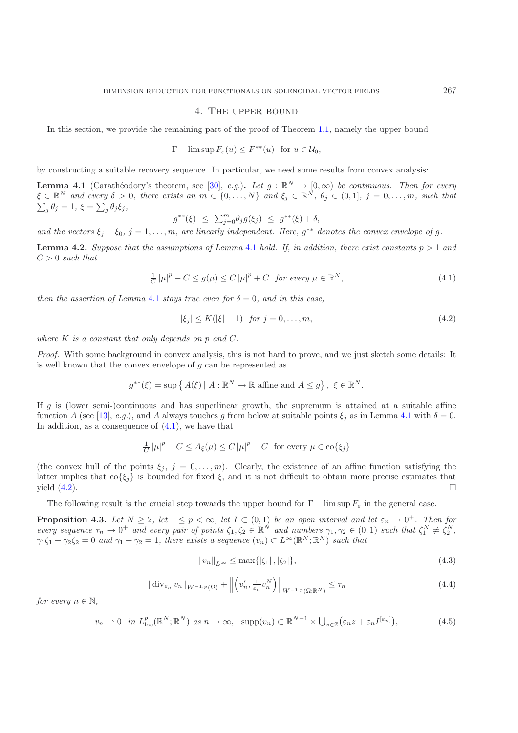### 4. The upper bound

<span id="page-8-0"></span>In this section, we provide the remaining part of the proof of Theorem [1.1,](#page-2-1) namely the upper bound

$$
\Gamma - \limsup F_{\varepsilon}(u) \le F^{**}(u) \text{ for } u \in \mathcal{U}_0,
$$

by constructing a suitable recovery sequence. In particular, we need some results from convex analysis:

**Lemma 4.1** (Carathéodory's theorem, see [\[30\]](#page-17-24), *e.g.*). Let  $g : \mathbb{R}^N \to [0, \infty)$  be continuous. Then for every  $\xi \in \mathbb{R}^N$  and every  $\delta > 0$ , there exists an  $m \in \{0, \ldots, N\}$  and  $\xi \in \mathbb{R}^N$ ,  $\theta \in (0, 1], i = 0, \ldots, m$  $\xi \in \mathbb{R}^N$  and every  $\delta > 0$ , there exists an  $m \in \{0, ..., N\}$  and  $\xi_j \in \mathbb{R}^N$ ,  $\theta_j \in (0, 1]$ ,  $j = 0, ..., m$ , such that  $\sum_i \theta_j = 1$ ,  $\xi = \sum_i \theta_j \xi_j$ ,  $j_{j} \theta_{j} = 1, \, \xi = \sum_{j} \theta_{j} \xi_{j},$ 

$$
g^{**}(\xi) \le \sum_{j=0}^m \theta_j g(\xi_j) \le g^{**}(\xi) + \delta,
$$

*and the vectors*  $\xi_j - \xi_0$ ,  $j = 1, \ldots, m$ , are linearly independent. Here,  $g^{**}$  denotes the convex envelope of g.

**Lemma 4.2.** *Suppose that the assumptions of Lemma [4.1](#page-2-1) hold. If, in addition, there exist constants*  $p > 1$  *and*  $C > 0$  *such that* 

$$
\frac{1}{C} \left| \mu \right|^p - C \le g(\mu) \le C \left| \mu \right|^p + C \quad \text{for every } \mu \in \mathbb{R}^N,
$$
\n
$$
(4.1)
$$

*then the assertion of Lemma* [4.1](#page-2-1) *stays true even for*  $\delta = 0$ *, and in this case.* 

<span id="page-8-2"></span><span id="page-8-1"></span>
$$
|\xi_j| \le K(|\xi| + 1) \quad \text{for } j = 0, \dots, m,
$$
\n(4.2)

*where* K *is a constant that only depends on* p *and* C*.*

*Proof.* With some background in convex analysis, this is not hard to prove, and we just sketch some details: It is well known that the convex envelope of  $q$  can be represented as

$$
g^{**}(\xi) = \sup \{ A(\xi) | A : \mathbb{R}^N \to \mathbb{R} \text{ affine and } A \le g \}, \ \xi \in \mathbb{R}^N.
$$

If q is (lower semi-)continuous and has superlinear growth, the supremum is attained at a suitable affine function A (see [\[13\]](#page-17-21), *e.g.*), and A always touches g from below at suitable points  $\xi_i$  as in Lemma [4.1](#page-2-1) with  $\delta = 0$ . In addition, as a consequence of  $(4.1)$ , we have that

$$
\frac{1}{C} |\mu|^p - C \le A_\xi(\mu) \le C |\mu|^p + C \text{ for every } \mu \in \text{co}\{\xi_j\}
$$

(the convex hull of the points  $\xi_j$ ,  $j = 0, \ldots, m$ ). Clearly, the existence of an affine function satisfying the latter implies that co{ $\xi_j$ } is bounded for fixed  $\xi$ , and it is not difficult to obtain more precise estimates that yield (4.2). yield  $(4.2)$ .  $\Box$ 

The following result is the crucial step towards the upper bound for  $\Gamma$  − lim sup  $F_{\varepsilon}$  in the general case.

**Proposition 4.3.** *Let*  $N \geq 2$ , let  $1 \leq p < \infty$ , let  $I \subset (0,1)$  *be an open interval and let*  $\varepsilon_n \to 0^+$ . Then for *every sequence*  $\tau_n \to 0^+$  *and every pair of points*  $\zeta_1, \zeta_2 \in \mathbb{R}^N$  *and numbers*  $\gamma_1, \gamma_2 \in (0, 1)$  *such that*  $\zeta_1^N \neq \zeta_2^N$ ,  $\gamma_1 \zeta_2 \to 0$  *and*  $\gamma_1 + \gamma_2 = 1$  *there exists a sequence*  $(\gamma_1) \subset L^\in$  $\gamma_1 \zeta_1 + \gamma_2 \zeta_2 = 0$  *and*  $\gamma_1 + \gamma_2 = 1$ , there exists a sequence  $(v_n) \subset L^\infty(\mathbb{R}^N; \mathbb{R}^N)$  such that

$$
||v_n||_{L^{\infty}} \le \max\{|\zeta_1|, |\zeta_2|\},\tag{4.3}
$$

<span id="page-8-4"></span>
$$
\|\text{div}_{\varepsilon_n} v_n\|_{W^{-1,p}(\Omega)} + \left\| \left( v_n', \frac{1}{\varepsilon_n} v_n^N \right) \right\|_{W^{-1,p}(\Omega; \mathbb{R}^N)} \le \tau_n \tag{4.4}
$$

<span id="page-8-5"></span>*for every*  $n \in \mathbb{N}$ ,

<span id="page-8-3"></span>
$$
v_n \rightharpoonup 0 \quad \text{in } L^p_{\text{loc}}(\mathbb{R}^N; \mathbb{R}^N) \text{ as } n \to \infty, \quad \text{supp}(v_n) \subset \mathbb{R}^{N-1} \times \bigcup_{z \in \mathbb{Z}} \left(\varepsilon_n z + \varepsilon_n I^{[\varepsilon_n]}\right),\tag{4.5}
$$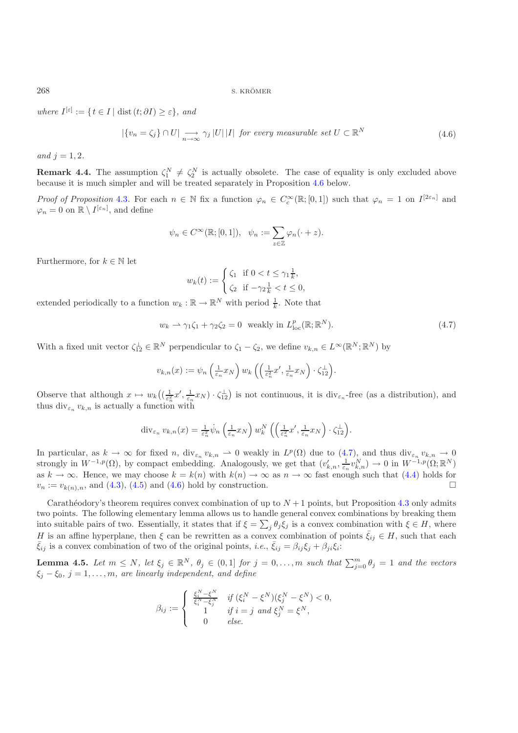268 S. KROMER ¨

<span id="page-9-1"></span>*where*  $I^{[\varepsilon]} := \{ t \in I \mid \text{dist}(t; \partial I) \geq \varepsilon \}, and$ 

$$
|\{v_n = \zeta_j\} \cap U| \xrightarrow[n \to \infty]{} \gamma_j |U| |I| \text{ for every measurable set } U \subset \mathbb{R}^N
$$
\n(4.6)

*and*  $j = 1, 2$ *.* 

**Remark 4.4.** The assumption  $\zeta_1^N \neq \zeta_2^N$  is actually obsolete. The case of equality is only excluded above because it is much simpler and will be treated separately in Proposition 4.6 below. because it is much simpler and will be treated separately in Proposition [4.6](#page-3-1) below.

*Proof of Proposition* [4.3](#page-3-0). For each  $n \in \mathbb{N}$  fix a function  $\varphi_n \in C_c^{\infty}(\mathbb{R};[0,1])$  such that  $\varphi_n = 1$  on  $I^{[2\varepsilon_n]}$  and  $\varphi_0 = 0$  on  $\mathbb{R} \setminus I^{[\varepsilon_n]}$  and define  $\varphi_n = 0$  on  $\mathbb{R} \setminus I^{[\varepsilon_n]}$ , and define

$$
\psi_n \in C^{\infty}(\mathbb{R};[0,1]), \ \ \psi_n := \sum_{z \in \mathbb{Z}} \varphi_n(\cdot+z).
$$

Furthermore, for  $k \in \mathbb{N}$  let

<span id="page-9-0"></span>
$$
w_k(t) := \begin{cases} \zeta_1 & \text{if } 0 < t \le \gamma_1 \frac{1}{k}, \\ \zeta_2 & \text{if } -\gamma_2 \frac{1}{k} < t \le 0, \end{cases}
$$

extended periodically to a function  $w_k : \mathbb{R} \to \mathbb{R}^N$  with period  $\frac{1}{k}$ . Note that

$$
w_k \rightharpoonup \gamma_1 \zeta_1 + \gamma_2 \zeta_2 = 0 \quad \text{weakly in } L^p_{\text{loc}}(\mathbb{R}; \mathbb{R}^N). \tag{4.7}
$$

With a fixed unit vector  $\zeta_{12}^{\perp} \in \mathbb{R}^N$  perpendicular to  $\zeta_1 - \zeta_2$ , we define  $v_{k,n} \in L^{\infty}(\mathbb{R}^N;\mathbb{R}^N)$  by

$$
v_{k,n}(x) := \psi_n\left(\tfrac{1}{\varepsilon_n}x_N\right)w_k\left(\left(\tfrac{1}{\varepsilon_n^2}x',\tfrac{1}{\varepsilon_n}x_N\right)\cdot\zeta_{12}^\perp\right).
$$

Observe that although  $x \mapsto w_k\left(\left(\frac{1}{\varepsilon_n}x', \frac{1}{\varepsilon_n}x_N\right) \cdot \zeta_1^{\perp}\right)$  is not continuous, it is div<sub> $\varepsilon_n$ </sub>-free (as a distribution), and thus div.  $x_i$  is actually a function with thus div<sub> $\varepsilon_n$ </sub>  $v_{k,n}$  is actually a function with

$$
\operatorname{div}_{\varepsilon_n} v_{k,n}(x) = \frac{1}{\varepsilon_n^2} \dot{\psi}_n \left( \frac{1}{\varepsilon_n} x_N \right) w_k^N \left( \left( \frac{1}{\varepsilon_n^2} x', \frac{1}{\varepsilon_n} x_N \right) \cdot \zeta_{12}^{\perp} \right).
$$

In particular, as  $k \to \infty$  for fixed n,  $\text{div}_{\varepsilon_n} v_{k,n} \to 0$  weakly in  $L^p(\Omega)$  due to [\(4.7\)](#page-9-0), and thus  $\text{div}_{\varepsilon_n} v_{k,n} \to 0$ <br>strongly in  $W^{-1,p}(\Omega)$  by compact embedding. Analogously we get that  $(v' - \frac{1}{2}v^N) \to 0$  in strongly in  $W^{-1,p}(\Omega)$ , by compact embedding. Analogously, we get that  $(v'_{k,n}, \frac{1}{\epsilon_n} v^N_{k,n}) \to 0$  in  $W^{-1,p}(\Omega; \mathbb{R}^N)$ as  $k \to \infty$ . Hence, we may choose  $k = k(n)$  with  $k(n) \to \infty$  as  $n \to \infty$  fast enough such that [\(4.4\)](#page-8-3) holds for  $v_n := v_{k(n)}$ , and (4.3), (4.5) and (4.6) hold by construction.  $v_n := v_{k(n),n}$ , and  $(4.3)$ ,  $(4.5)$  and  $(4.6)$  hold by construction.

Carathéodory's theorem requires convex combination of up to  $N + 1$  points, but Proposition [4.3](#page-3-0) only admits two points. The following elementary lemma allows us to handle general convex combinations by breaking them into suitable pairs of two. Essentially, it states that if  $\xi = \sum_j \theta_j \xi_j$  is a convex combination with  $\xi \in H$ , where<br>*H* is an effine hyperplane, than f, son he possition as a convex combination of points  $\overline{\xi} \in H$ , su H is an affine hyperplane, then  $\xi$  can be rewritten as a convex combination of points  $\bar{\xi}_{ij} \in H$ , such that each  $\bar{\xi}_{ij}$  is a convex combination of two of the original points, *i.e.*,  $\bar{\xi}_{ij} = \beta_{ij}\xi_j + \beta_{ji}\xi_i$ :

**Lemma 4.5.** *Let*  $m \leq N$ *, let*  $\xi_j \in \mathbb{R}^N$ *,*  $\theta_j \in (0,1]$  *for*  $j = 0, \ldots, m$  *such that*  $\sum_{j=0}^m \theta_j = 1$  *and the vectors*  $\xi_j = \xi_0$   $j = 1$  *m are linearly independent and define*  $\xi_j - \xi_0$ ,  $j = 1, \ldots, m$ , are linearly independent, and define

$$
\beta_{ij} := \begin{cases}\n\frac{\xi_i^N - \xi^N}{\xi_i^N - \xi_j^N} & \text{if } (\xi_i^N - \xi^N)(\xi_j^N - \xi^N) < 0, \\
1 & \text{if } i = j \text{ and } \xi_j^N = \xi^N, \\
0 & \text{else.} \n\end{cases}
$$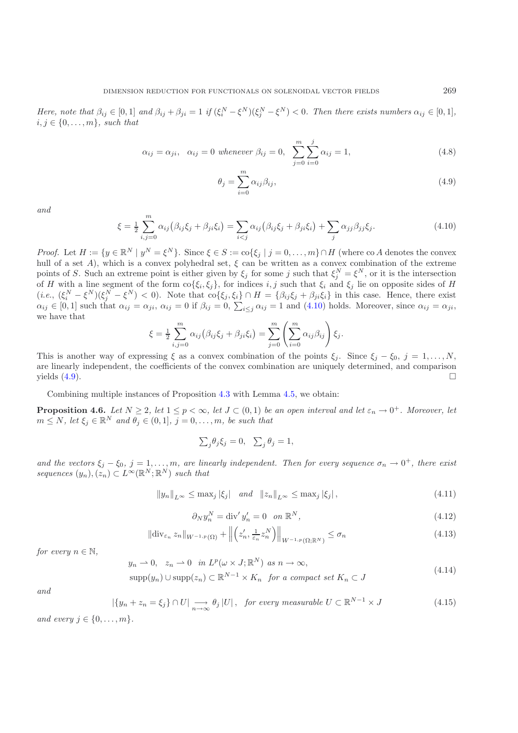*Here, note that*  $\beta_{ij} \in [0,1]$  *and*  $\beta_{ij} + \beta_{ji} = 1$  *if*  $(\xi_i^N - \xi^N)(\xi_j^N - \xi^N) < 0$ *. Then there exists numbers*  $\alpha_{ij} \in [0,1]$ *,*  $i \in \{0, \ldots, m\}$  exicle that  $i, j \in \{0, \ldots, m\}$ *, such that* 

$$
\alpha_{ij} = \alpha_{ji}, \quad \alpha_{ij} = 0 \text{ whenever } \beta_{ij} = 0, \quad \sum_{j=0}^{m} \sum_{i=0}^{j} \alpha_{ij} = 1,
$$
\n(4.8)

<span id="page-10-1"></span>
$$
\theta_j = \sum_{i=0}^{m} \alpha_{ij} \beta_{ij},
$$
\n(4.9)

<span id="page-10-0"></span>*and*

$$
\xi = \frac{1}{2} \sum_{i,j=0}^{m} \alpha_{ij} \left( \beta_{ij} \xi_j + \beta_{ji} \xi_i \right) = \sum_{i < j} \alpha_{ij} \left( \beta_{ij} \xi_j + \beta_{ji} \xi_i \right) + \sum_{j} \alpha_{jj} \beta_{jj} \xi_j. \tag{4.10}
$$

*Proof.* Let  $H := \{y \in \mathbb{R}^N \mid y^N = \xi^N\}$ . Since  $\xi \in S := \text{co}\{\xi_j \mid j = 0, \ldots, m\} \cap H$  (where co A denotes the convex hull of a set A), which is a convex polyhedral set,  $\xi$  can be written as a convex combination of the ext hull of a set A), which is a convex polyhedral set,  $\xi$  can be written as a convex combination of the extreme<br>points of  $S$ . Such an extreme point is either given by  $\xi$ , for some *i* such that  $\xi^N = \xi^N$  or it is the points of S. Such an extreme point is either given by  $\xi_j$  for some j such that  $\xi_j^N = \xi^N$ , or it is the intersection<br>of H with a line somment of the form colse set for indices i is such that  $\xi_j$  and  $\xi_j$  lie on opp of H with a line segment of the form  $\text{co}\{\xi_i, \xi_j\}$ , for indices  $i, j$  such that  $\xi_i$  and  $\xi_j$  lie on opposite sides of H<br>(i.e.,  $(\xi^N - \xi^N)(\xi^N - \xi^N)$ ) and that  $\text{co}\{\xi, \xi_j\} \cap H = \{\beta, \xi_j \pm \beta, \xi_k\}$  in this case. Henc  $(i.e., (\xi_i^N - \xi^N)(\xi_i^N - \xi^N) < 0$ . Note that  $\cos(\xi_j, \xi_i) \cap H = {\beta_{ij}\xi_j + \beta_{ji}\xi_i}$  in this case. Hence, there exist  $\alpha_{ij} \in [0, 1]$  such that  $\alpha_{ij} = \alpha_{ij}$ ,  $\alpha_{ij} = 0$  if  $\beta_{ij} = 0$ .  $\sum_{i=1}^{\infty} \alpha_{ij} = 1$  and (4.10) holds. Moreo  $\alpha_{ij} \in [0,1]$  such that  $\alpha_{ij} = \alpha_{ji}$ ,  $\alpha_{ij} = 0$  if  $\beta_{ij} = 0$ ,  $\sum_{i \leq j} \alpha_{ij} = 1$  and [\(4.10\)](#page-10-0) holds. Moreover, since  $\alpha_{ij} = \alpha_{ji}$ , we have that

$$
\xi = \frac{1}{2} \sum_{i,j=0}^{m} \alpha_{ij} (\beta_{ij} \xi_j + \beta_{ji} \xi_i) = \sum_{j=0}^{m} \left( \sum_{i=0}^{m} \alpha_{ij} \beta_{ij} \right) \xi_j.
$$

This is another way of expressing  $\xi$  as a convex combination of the points  $\xi_j$ . Since  $\xi_j - \xi_0$ ,  $j = 1, ..., N$ , are linearly independent, the coefficients of the convex combination are uniquely determined, and comparison yields  $(4.9)$ .

Combining multiple instances of Proposition [4.3](#page-3-0) with Lemma [4.5,](#page-3-2) we obtain:

**Proposition 4.6.** *Let*  $N \geq 2$ *, let*  $1 \leq p < \infty$ *, let*  $J \subset (0,1)$  *be an open interval and let*  $\varepsilon_n \to 0^+$ *. Moreover, let*  $m \leq N$ *, let*  $\xi_j \in \mathbb{R}^N$  *and*  $\theta_j \in (0,1]$ *,*  $j = 0, \ldots, m$ *, be such that* 

$$
\sum_{j} \theta_j \xi_j = 0, \quad \sum_{j} \theta_j = 1,
$$

<span id="page-10-2"></span>*and the vectors*  $\xi_j - \xi_0$ ,  $j = 1, \ldots, m$ , are linearly independent. Then for every sequence  $\sigma_n \to 0^+$ , there exist *sequences*  $(y_n), (z_n) \subset L^{\infty}(\mathbb{R}^N; \mathbb{R}^N)$  *such that* 

$$
||y_n||_{L^{\infty}} \leq \max_j |\xi_j| \quad \text{and} \quad ||z_n||_{L^{\infty}} \leq \max_j |\xi_j| \,, \tag{4.11}
$$

$$
\partial_N y_n^N = \text{div}' y_n' = 0 \quad \text{on } \mathbb{R}^N,\tag{4.12}
$$

$$
\left\| \text{div}_{\varepsilon_n} \, z_n \right\|_{W^{-1,p}(\Omega)} + \left\| \left( z_n', \frac{1}{\varepsilon_n} z_n^N \right) \right\|_{W^{-1,p}(\Omega; \mathbb{R}^N)} \le \sigma_n \tag{4.13}
$$

<span id="page-10-5"></span><span id="page-10-3"></span>*for every*  $n \in \mathbb{N}$ ,

$$
y_n \to 0
$$
,  $z_n \to 0$  in  $L^p(\omega \times J; \mathbb{R}^N)$  as  $n \to \infty$ ,

$$
\sup p(y_n) \cup \sup p(z_n) \subset \mathbb{R}^{N-1} \times K_n \quad \text{for a compact set } K_n \subset J \tag{4.14}
$$

<span id="page-10-4"></span>*and*

$$
|\{y_n + z_n = \xi_j\} \cap U| \xrightarrow[n \to \infty]{} \theta_j |U|, \quad \text{for every measurable } U \subset \mathbb{R}^{N-1} \times J \tag{4.15}
$$

*and every*  $j \in \{0, ..., m\}$ *.*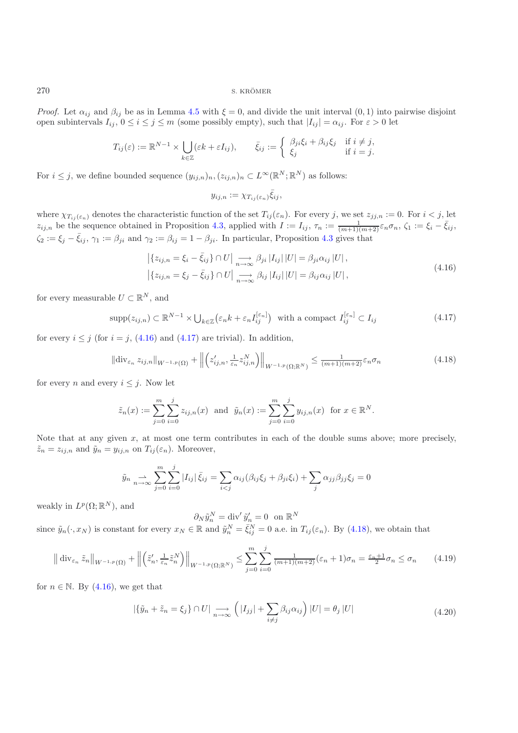*Proof.* Let  $\alpha_{ij}$  and  $\beta_{ij}$  be as in Lemma [4.5](#page-3-2) with  $\xi = 0$ , and divide the unit interval  $(0, 1)$  into pairwise disjoint open subintervals  $I_{ij}$ ,  $0 \le i \le j \le m$  (some possibly empty), such that  $|I_{ij}| = \alpha_{ij}$ . For  $\varepsilon > 0$  let

$$
T_{ij}(\varepsilon) := \mathbb{R}^{N-1} \times \bigcup_{k \in \mathbb{Z}} (\varepsilon k + \varepsilon I_{ij}), \qquad \bar{\xi}_{ij} := \left\{ \begin{array}{ll} \beta_{ji} \xi_i + \beta_{ij} \xi_j & \text{if } i \neq j, \\ \xi_j & \text{if } i = j. \end{array} \right.
$$

For  $i \leq j$ , we define bounded sequence  $(y_{ij,n})_n, (z_{ij,n})_n \subset L^{\infty}(\mathbb{R}^N;\mathbb{R}^N)$  as follows:

<span id="page-11-2"></span><span id="page-11-1"></span><span id="page-11-0"></span>
$$
y_{ij,n} := \chi_{T_{ij}(\varepsilon_n)} \bar{\xi}_{ij},
$$

where  $\chi_{T_{ij}(\varepsilon_n)}$  denotes the characteristic function of the set  $T_{ij}(\varepsilon_n)$ . For every j, we set  $z_{jj,n} := 0$ . For  $i < j$ , let  $z_{ij,n}$  be the sequence obtained in Proposition [4.3,](#page-3-0) applied with  $I := I_{ij}$ ,  $\tau_n := \frac{1}{(m+1)(m+2)} \varepsilon_n \sigma_n$ ,  $\zeta_1 := \xi_i - \bar{\xi}_{ij}$ ,  $\zeta_2 := \xi_j - \bar{\xi}_{ij}, \gamma_1 := \beta_{ji}$  and  $\gamma_2 := \beta_{ij} = 1 - \beta_{ji}$ . In particular, Proposition [4.3](#page-3-0) gives that

$$
\left| \{ z_{ij,n} = \xi_i - \bar{\xi}_{ij} \} \cap U \right| \underset{n \to \infty}{\longrightarrow} \beta_{ji} \left| I_{ij} \right| \left| U \right| = \beta_{ji} \alpha_{ij} \left| U \right|,
$$
  

$$
\left| \{ z_{ij,n} = \xi_j - \bar{\xi}_{ij} \} \cap U \right| \underset{n \to \infty}{\longrightarrow} \beta_{ij} \left| I_{ij} \right| \left| U \right| = \beta_{ij} \alpha_{ij} \left| U \right|,
$$
 (4.16)

for every measurable  $U \subset \mathbb{R}^N$ , and

$$
\text{supp}(z_{ij,n}) \subset \mathbb{R}^{N-1} \times \bigcup_{k \in \mathbb{Z}} \left(\varepsilon_n k + \varepsilon_n I_{ij}^{[\varepsilon_n]}\right) \text{ with a compact } I_{ij}^{[\varepsilon_n]} \subset I_{ij} \tag{4.17}
$$

for every  $i \leq j$  (for  $i = j$ , [\(4.16\)](#page-11-0) and [\(4.17\)](#page-11-1) are trivial). In addition,

$$
\left\|\text{div}_{\varepsilon_n} z_{ij,n}\right\|_{W^{-1,p}(\Omega)} + \left\|\left(z'_{ij,n}, \frac{1}{\varepsilon_n} z_{ij,n}^N\right)\right\|_{W^{-1,p}(\Omega; \mathbb{R}^N)} \le \frac{1}{(m+1)(m+2)} \varepsilon_n \sigma_n \tag{4.18}
$$

for every n and every  $i \leq j$ . Now let

$$
\tilde{z}_n(x) := \sum_{j=0}^m \sum_{i=0}^j z_{ij,n}(x)
$$
 and  $\tilde{y}_n(x) := \sum_{j=0}^m \sum_{i=0}^j y_{ij,n}(x)$  for  $x \in \mathbb{R}^N$ .

Note that at any given x, at most one term contributes in each of the double sums above; more precisely,  $\tilde{z}_n = z_{ij,n}$  and  $\tilde{y}_n = y_{ij,n}$  on  $T_{ij}(\varepsilon_n)$ . Moreover,

$$
\tilde{y}_n \underset{n \to \infty}{\to} \sum_{j=0}^m \sum_{i=0}^j |I_{ij}| \bar{\xi}_{ij} = \sum_{i < j} \alpha_{ij} (\beta_{ij} \xi_j + \beta_{ji} \xi_i) + \sum_j \alpha_{jj} \beta_{jj} \xi_j = 0
$$

weakly in  $L^p(\Omega; \mathbb{R}^N)$ , and

 $\partial_N \tilde{y}_n^N = \text{div}' \, \tilde{y}_n' = 0 \text{ on } \mathbb{R}^N$ since  $\tilde{y}_n(\cdot, x_N)$  is constant for every  $x_N \in \mathbb{R}$  and  $\tilde{y}_n^N = \bar{\xi}_{ij}^N = 0$  a.e. in  $T_{ij}(\varepsilon_n)$ . By [\(4.18\)](#page-11-2), we obtain that

$$
\left\| \operatorname{div}_{\varepsilon_n} \tilde{z}_n \right\|_{W^{-1,p}(\Omega)} + \left\| \left( \tilde{z}'_n, \frac{1}{\varepsilon_n} \tilde{z}_n^N \right) \right\|_{W^{-1,p}(\Omega; \mathbb{R}^N)} \le \sum_{j=0}^m \sum_{i=0}^j \frac{1}{(m+1)(m+2)} (\varepsilon_n + 1) \sigma_n = \frac{\varepsilon_n + 1}{2} \sigma_n \le \sigma_n \tag{4.19}
$$

<span id="page-11-4"></span>for  $n \in \mathbb{N}$ . By [\(4.16\)](#page-11-0), we get that

<span id="page-11-3"></span>
$$
|\{\tilde{y}_n + \tilde{z}_n = \xi_j\} \cap U| \xrightarrow[n \to \infty]{} \left( |I_{jj}| + \sum_{i \neq j} \beta_{ij} \alpha_{ij} \right) |U| = \theta_j |U|
$$
\n(4.20)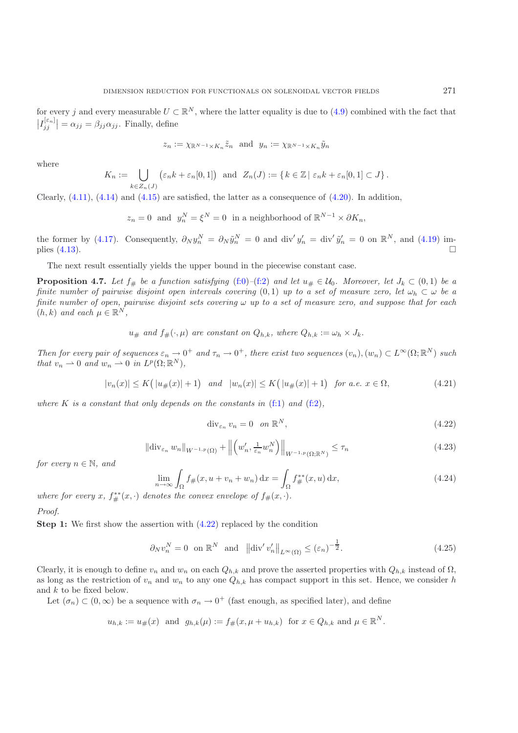for every j and every measurable  $U \subset \mathbb{R}^N$ , where the latter equality is due to [\(4.9\)](#page-10-1) combined with the fact that  $\left| I_{jj}^{[\varepsilon_n]} \right| = \alpha_{jj} = \beta_{jj} \alpha_{jj}$ . Finally, define

$$
z_n := \chi_{\mathbb{R}^{N-1} \times K_n} \tilde{z}_n
$$
 and  $y_n := \chi_{\mathbb{R}^{N-1} \times K_n} \tilde{y}_n$ 

where

$$
K_n := \bigcup_{k \in Z_n(J)} \left( \varepsilon_n k + \varepsilon_n[0,1] \right) \text{ and } Z_n(J) := \{ k \in \mathbb{Z} \mid \varepsilon_n k + \varepsilon_n[0,1] \subset J \}.
$$

Clearly,  $(4.11)$ ,  $(4.14)$  and  $(4.15)$  are satisfied, the latter as a consequence of  $(4.20)$ . In addition,

$$
z_n = 0
$$
 and  $y_n^N = \xi^N = 0$  in a neighborhood of  $\mathbb{R}^{N-1} \times \partial K_n$ ,

the former by [\(4.17\)](#page-11-1). Consequently,  $\partial_N y_n^N = \partial_N \tilde{y}_n^N = 0$  and div' $y_n' = \text{div}' \tilde{y}_n' = 0$  on  $\mathbb{R}^N$ , and [\(4.19\)](#page-11-4) im-plies [\(4.13\)](#page-10-5).  $\Box$  $\Box$ 

The next result essentially yields the upper bound in the piecewise constant case.

**Proposition 4.7.** *Let*  $f_{\#}$  *be a function satisfying* [\(f:0\)](#page-1-1)–[\(f:2\)](#page-1-2) *and let*  $u_{\#} \in \mathcal{U}_0$ *. Moreover, let*  $J_k \subset (0,1)$  *be a finite number of pairwise disjoint open intervals covering* (0,1) *up to a set of measure zero, let*  $\omega_h \subset \omega$  *be a finite number of open, pairwise disjoint sets covering* ω *up to a set of measure zero, and suppose that for each*  $(h, k)$  *and each*  $\mu \in \mathbb{R}^N$ ,

$$
u_{\#}
$$
 and  $f_{\#}(\cdot, \mu)$  are constant on  $Q_{h,k}$ , where  $Q_{h,k} := \omega_h \times J_k$ .

*Then for every pair of sequences*  $\varepsilon_n \to 0^+$  *and*  $\tau_n \to 0^+$ *, there exist two sequences*  $(v_n)$ *,*  $(w_n) \subset L^{\infty}(\Omega; \mathbb{R}^N)$  *such that*  $v_n \rightharpoonup 0$  *and*  $w_n \rightharpoonup 0$  *in*  $L^p(\Omega; \mathbb{R}^N)$ *,* 

$$
|v_n(x)| \le K\big(|u_{\#}(x)| + 1\big) \quad \text{and} \quad |w_n(x)| \le K\big(|u_{\#}(x)| + 1\big) \quad \text{for a.e. } x \in \Omega,\tag{4.21}
$$

<span id="page-12-1"></span>*where* K *is a constant that only depends on the constants in*  $(f:1)$  *and*  $(f:2)$ *,* 

$$
\operatorname{div}_{\varepsilon_n} v_n = 0 \quad on \ \mathbb{R}^N,\tag{4.22}
$$

<span id="page-12-0"></span>
$$
\|\text{div}_{\varepsilon_n} w_n\|_{W^{-1,p}(\Omega)} + \left\| \left( w_n', \frac{1}{\varepsilon_n} w_n^N \right) \right\|_{W^{-1,p}(\Omega; \mathbb{R}^N)} \le \tau_n \tag{4.23}
$$

<span id="page-12-4"></span><span id="page-12-3"></span>*for every*  $n \in \mathbb{N}$ *, and* 

$$
\lim_{n \to \infty} \int_{\Omega} f_{\#}(x, u + v_n + w_n) \, dx = \int_{\Omega} f_{\#}^{**}(x, u) \, dx,\tag{4.24}
$$

*where for every*  $x$ *,*  $f_{\#}^{**}(x, \cdot)$  *denotes the convex envelope of*  $f_{\#}(x, \cdot)$ *.* 

*Proof.*

**Step 1:** We first show the assertion with  $(4.22)$  replaced by the condition

$$
\partial_N v_n^N = 0 \quad \text{on } \mathbb{R}^N \quad \text{and} \quad \left\| \text{div}' \, v_n' \right\|_{L^\infty(\Omega)} \le (\varepsilon_n)^{-\frac{1}{2}}.
$$

<span id="page-12-2"></span>Clearly, it is enough to define  $v_n$  and  $w_n$  on each  $Q_{h,k}$  and prove the asserted properties with  $Q_{h,k}$  instead of  $\Omega$ , as long as the restriction of  $v_n$  and  $w_n$  to any one  $Q_{h,k}$  has compact support in this set. Hence, we consider h and k to be fixed below.

Let  $(\sigma_n) \subset (0,\infty)$  be a sequence with  $\sigma_n \to 0^+$  (fast enough, as specified later), and define

$$
u_{h,k} := u_{\#}(x)
$$
 and  $g_{h,k}(\mu) := f_{\#}(x, \mu + u_{h,k})$  for  $x \in Q_{h,k}$  and  $\mu \in \mathbb{R}^N$ .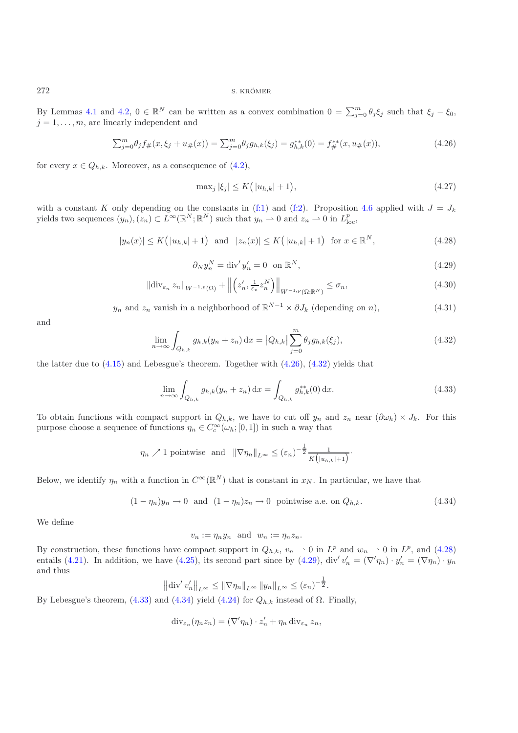By Lemmas [4.1](#page-2-1) and [4.2,](#page-2-0)  $0 \in \mathbb{R}^N$  can be written as a convex combination  $0 = \sum_{j=0}^m \theta_j \xi_j$  such that  $\xi_j - \xi_0$ ,  $j=1$  are linearly independent and  $j = 1, \ldots, m$ , are linearly independent and

$$
\sum_{j=0}^{m} \theta_j f_{\#}(x, \xi_j + u_{\#}(x)) = \sum_{j=0}^{m} \theta_j g_{h,k}(\xi_j) = g_{h,k}^{**}(0) = f_{\#}^{**}(x, u_{\#}(x)),
$$
\n(4.26)

for every  $x \in Q_{h,k}$ . Moreover, as a consequence of  $(4.2)$ ,

<span id="page-13-0"></span>
$$
\max_{j} |\xi_{j}| \le K(|u_{h,k}| + 1),\tag{4.27}
$$

<span id="page-13-2"></span>with a constant K only depending on the constants in [\(f:1\)](#page-1-3) and [\(f:2\)](#page-1-2). Proposition [4.6](#page-3-1) applied with  $J = J_k$ yields two sequences  $(y_n), (z_n) \subset L^{\infty}(\mathbb{R}^N; \mathbb{R}^N)$  such that  $y_n \to 0$  and  $z_n \to 0$  in  $L^p_{loc}$ ,

$$
|y_n(x)| \le K\big(|u_{h,k}| + 1\big) \text{ and } |z_n(x)| \le K\big(|u_{h,k}| + 1\big) \text{ for } x \in \mathbb{R}^N,
$$
\n(4.28)

$$
\partial_N y_n^N = \text{div}' y_n' = 0 \quad \text{on } \mathbb{R}^N,
$$
\n(4.29)

<span id="page-13-3"></span>
$$
\|\operatorname{div}_{\varepsilon_n} z_n\|_{W^{-1,p}(\Omega)} + \left\| \left( z_n', \frac{1}{\varepsilon_n} z_n^N \right) \right\|_{W^{-1,p}(\Omega; \mathbb{R}^N)} \le \sigma_n,
$$
\n(4.30)

<span id="page-13-6"></span><span id="page-13-1"></span> $y_n$  and  $z_n$  vanish in a neighborhood of  $\mathbb{R}^{N-1} \times \partial J_k$  (depending on n), (4.31)

and

$$
\lim_{n \to \infty} \int_{Q_{h,k}} g_{h,k}(y_n + z_n) \, dx = |Q_{h,k}| \sum_{j=0}^m \theta_j g_{h,k}(\xi_j), \tag{4.32}
$$

the latter due to  $(4.15)$  and Lebesgue's theorem. Together with  $(4.26)$ ,  $(4.32)$  yields that

<span id="page-13-4"></span>
$$
\lim_{n \to \infty} \int_{Q_{h,k}} g_{h,k}(y_n + z_n) \, dx = \int_{Q_{h,k}} g_{h,k}^{**}(0) \, dx.
$$
\n(4.33)

To obtain functions with compact support in  $Q_{h,k}$ , we have to cut off  $y_n$  and  $z_n$  near  $(\partial \omega_h) \times J_k$ . For this purpose choose a sequence of functions  $\eta_n \in C_c^{\infty}(\omega_h; [0, 1])$  in such a way that

$$
\eta_n \nearrow 1
$$
 pointwise and  $\|\nabla \eta_n\|_{L^{\infty}} \leq (\varepsilon_n)^{-\frac{1}{2}} \frac{1}{K(|u_{n,k}|+1)}.$ 

Below, we identify  $\eta_n$  with a function in  $C^{\infty}(\mathbb{R}^N)$  that is constant in  $x_N$ . In particular, we have that

$$
(1 - \eta_n)y_n \to 0 \quad \text{and} \quad (1 - \eta_n)z_n \to 0 \quad \text{pointwise a.e. on } Q_{h,k}.\tag{4.34}
$$

<span id="page-13-5"></span>We define

 $v_n := \eta_n y_n$  and  $w_n := \eta_n z_n$ .

By construction, these functions have compact support in  $Q_{h,k}$ ,  $v_n \rightharpoonup 0$  in  $L^p$  and  $w_n \rightharpoonup 0$  in  $L^p$ , and [\(4.28\)](#page-13-2) entails [\(4.21\)](#page-12-1). In addition, we have [\(4.25\)](#page-12-2), its second part since by [\(4.29\)](#page-13-3), div' $v'_n = (\nabla \eta_n) \cdot y'_n = (\nabla \eta_n) \cdot y_n$ and thus

$$
\left\|\text{div}' v_n'\right\|_{L^{\infty}} \leq \left\|\nabla \eta_n\right\|_{L^{\infty}} \left\|y_n\right\|_{L^{\infty}} \leq (\varepsilon_n)^{-\frac{1}{2}}.
$$

By Lebesgue's theorem, [\(4.33\)](#page-13-4) and [\(4.34\)](#page-13-5) yield [\(4.24\)](#page-12-3) for  $Q_{h,k}$  instead of  $Ω$ . Finally,

$$
\mathrm{div}_{\varepsilon_n}(\eta_n z_n) = (\nabla' \eta_n) \cdot z'_n + \eta_n \mathrm{div}_{\varepsilon_n} z_n,
$$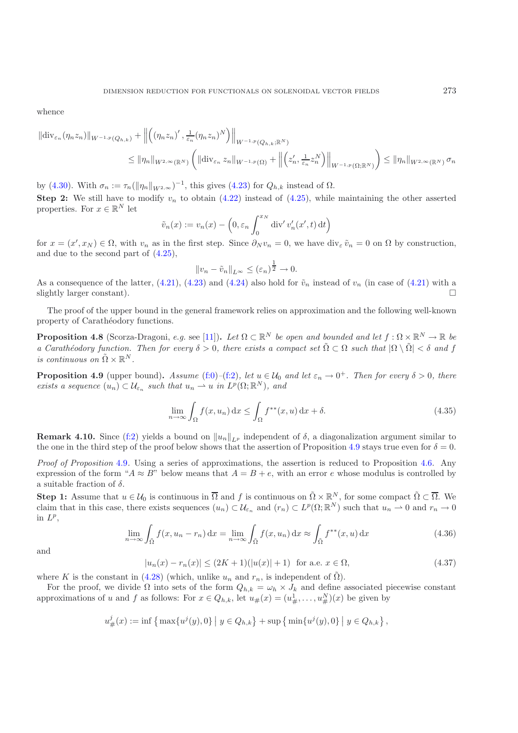whence

$$
\|\text{div}_{\varepsilon_n}(\eta_n z_n)\|_{W^{-1,p}(Q_{h,k})} + \left\| \left( (\eta_n z_n)' , \frac{1}{\varepsilon_n} (\eta_n z_n)^N \right) \right\|_{W^{-1,p}(Q_{h,k};\mathbb{R}^N)}
$$
  

$$
\leq \|\eta_n\|_{W^{2,\infty}(\mathbb{R}^N)} \left( \|\text{div}_{\varepsilon_n} z_n\|_{W^{-1,p}(\Omega)} + \left\| \left( z_n', \frac{1}{\varepsilon_n} z_n^N \right) \right\|_{W^{-1,p}(\Omega;\mathbb{R}^N)} \right) \leq \|\eta_n\|_{W^{2,\infty}(\mathbb{R}^N)} \sigma_n
$$

by [\(4.30\)](#page-13-6). With  $\sigma_n := \tau_n(\|\eta_n\|_{W^{2,\infty}})^{-1}$ , this gives [\(4.23\)](#page-12-4) for  $Q_{h,k}$  instead of  $Ω$ . **Step 2:** We still have to modify  $v_n$  to obtain  $(4.22)$  instead of  $(4.25)$ , while maintaining the other asserted properties. For  $x \in \mathbb{R}^N$  let

$$
\tilde{v}_n(x) := v_n(x) - \left(0, \varepsilon_n \int_0^{x_N} \mathrm{div}' v'_n(x', t) \, \mathrm{d}t\right)
$$

for  $x = (x', x_N) \in \Omega$ , with  $v_n$  as in the first step. Since  $\partial_N v_n = 0$ , we have div<sub>e</sub>  $\tilde{v}_n = 0$  on  $\Omega$  by construction, and due to the second part of [\(4.25\)](#page-12-2),

$$
||v_n - \tilde{v}_n||_{L^{\infty}} \le (\varepsilon_n)^{\frac{1}{2}} \to 0.
$$

As a consequence of the latter, [\(4.21\)](#page-12-1), [\(4.23\)](#page-12-4) and [\(4.24\)](#page-12-3) also hold for  $\tilde{v}_n$  instead of  $v_n$  (in case of (4.21) with a clightly larger constant) slightly larger constant).  $\square$ 

The proof of the upper bound in the general framework relies on approximation and the following well-known property of Carathéodory functions.

**Proposition 4.8** (Scorza-Dragoni, *e.g.* see [\[11\]](#page-17-25)). *Let*  $\Omega \subset \mathbb{R}^N$  *be open and bounded and let*  $f : \Omega \times \mathbb{R}^N \to \mathbb{R}$  *be a Carathéodory function. Then for every*  $\delta > 0$ , there exists a compact set  $\tilde{\Omega} \subset \Omega$  such that  $|\Omega \setminus \tilde{\Omega}| < \delta$  and f *is continuous on*  $\tilde{\Omega} \times \mathbb{R}^N$ .

**Proposition 4.9** (upper bound). Assume [\(f:0\)](#page-1-1)–[\(f:2\)](#page-1-2), let  $u \in \mathcal{U}_0$  and let  $\varepsilon_n \to 0^+$ . Then for every  $\delta > 0$ , there *exists a sequence*  $(u_n) \subset \mathcal{U}_{\varepsilon_n}$  *such that*  $u_n \to u$  *in*  $L^p(\Omega; \mathbb{R}^N)$ *, and* 

$$
\lim_{n \to \infty} \int_{\Omega} f(x, u_n) dx \le \int_{\Omega} f^{**}(x, u) dx + \delta.
$$
\n(4.35)

**Remark 4.10.** Since [\(f:2\)](#page-1-2) yields a bound on  $||u_n||_{L^p}$  independent of  $\delta$ , a diagonalization argument similar to the one in the third step of the proof below shows that the assertion of Proposition 4.9 stays true even the one in the third step of the proof below shows that the assertion of Proposition [4.9](#page-4-1) stays true even for  $\delta = 0$ .

*Proof of Proposition* [4.9](#page-4-1)*.* Using a series of approximations, the assertion is reduced to Proposition [4.6.](#page-3-1) Any expression of the form " $A \approx B$ " below means that  $A = B + e$ , with an error e whose modulus is controlled by a suitable fraction of  $\delta$ .

**Step 1:** Assume that  $u \in \mathcal{U}_0$  is continuous in  $\overline{\Omega}$  and f is continuous on  $\tilde{\Omega} \times \mathbb{R}^N$ , for some compact  $\tilde{\Omega} \subset \overline{\Omega}$ . We claim that in this case, there exists sequences  $(u_n) \subset \mathcal{U}_{\varepsilon_n}$  and  $(r_n) \subset L^p(\Omega;\mathbb{R}^N)$  such that  $u_n \to 0$  and  $r_n \to 0$ in  $L^p$ ,

$$
\lim_{n \to \infty} \int_{\tilde{\Omega}} f(x, u_n - r_n) dx = \lim_{n \to \infty} \int_{\tilde{\Omega}} f(x, u_n) dx \approx \int_{\tilde{\Omega}} f^{**}(x, u) dx \tag{4.36}
$$

<span id="page-14-1"></span><span id="page-14-0"></span>and

$$
|u_n(x) - r_n(x)| \le (2K+1)(|u(x)|+1) \quad \text{for a.e. } x \in \Omega,
$$
\n
$$
(4.37)
$$

where K is the constant in [\(4.28\)](#page-13-2) (which, unlike  $u_n$  and  $r_n$ , is independent of  $\tilde{\Omega}$ ).

For the proof, we divide  $\Omega$  into sets of the form  $Q_{h,k} = \omega_h \times J_k$  and define associated piecewise constant approximations of u and f as follows: For  $x \in Q_{h,k}$ , let  $u_{\#}(x) = (u_{\#}^1, \ldots, u_{\#}^N)(x)$  be given by

$$
u_{\#}^{j}(x) := \inf \left\{ \max \{u^{j}(y), 0\} \mid y \in Q_{h,k} \right\} + \sup \left\{ \min \{u^{j}(y), 0\} \mid y \in Q_{h,k} \right\},\
$$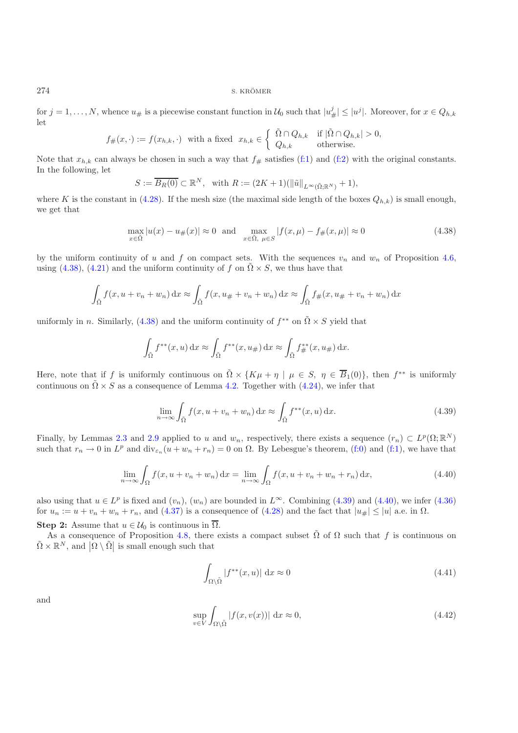for  $j = 1, ..., N$ , whence  $u_{\#}$  is a piecewise constant function in  $\mathcal{U}_0$  such that  $|u_{\#}^j| \leq |u^j|$ . Moreover, for  $x \in Q_{h,k}$ let

$$
f_{\#}(x,\cdot) := f(x_{h,k},\cdot) \text{ with a fixed } x_{h,k} \in \left\{ \begin{array}{ll} \tilde{\Omega} \cap Q_{h,k} & \text{if } |\tilde{\Omega} \cap Q_{h,k}| > 0, \\ Q_{h,k} & \text{otherwise.} \end{array} \right.
$$

Note that  $x_{h,k}$  can always be chosen in such a way that  $f_{\#}$  satisfies [\(f:1\)](#page-1-3) and [\(f:2\)](#page-1-2) with the original constants. In the following, let

<span id="page-15-0"></span>
$$
S := \overline{B_R(0)} \subset \mathbb{R}^N, \quad \text{with } R := (2K+1)(\|\tilde{u}\|_{L^{\infty}(\tilde{\Omega};\mathbb{R}^N)}+1),
$$

where K is the constant in [\(4.28\)](#page-13-2). If the mesh size (the maximal side length of the boxes  $Q_{h,k}$ ) is small enough, we get that

$$
\max_{x \in \tilde{\Omega}} |u(x) - u_{\#}(x)| \approx 0 \quad \text{and} \quad \max_{x \in \tilde{\Omega}, \ \mu \in S} |f(x, \mu) - f_{\#}(x, \mu)| \approx 0 \tag{4.38}
$$

by the uniform continuity of u and f on compact sets. With the sequences  $v_n$  and  $w_n$  of Proposition [4.6,](#page-3-1) using [\(4.38\)](#page-15-0), [\(4.21\)](#page-12-1) and the uniform continuity of f on  $\tilde{\Omega} \times S$ , we thus have that

$$
\int_{\tilde{\Omega}} f(x, u + v_n + w_n) dx \approx \int_{\tilde{\Omega}} f(x, u_{\#} + v_n + w_n) dx \approx \int_{\tilde{\Omega}} f_{\#}(x, u_{\#} + v_n + w_n) dx
$$

uniformly in n. Similarly, [\(4.38\)](#page-15-0) and the uniform continuity of  $f^{**}$  on  $\tilde{\Omega} \times S$  yield that

$$
\int_{\tilde{\Omega}} f^{**}(x, u) dx \approx \int_{\tilde{\Omega}} f^{**}(x, u_{\#}) dx \approx \int_{\tilde{\Omega}} f^{**}_{\#}(x, u_{\#}) dx.
$$

Here, note that if f is uniformly continuous on  $\tilde{\Omega} \times \{K\mu + \eta \mid \mu \in S, \eta \in \overline{B}_1(0)\}$ , then  $f^{**}$  is uniformly continuous on  $\tilde{\Omega} \times S$  as a consequence of Lemma [4.2.](#page-2-0) Together with [\(4.24\)](#page-12-3), we infer that

<span id="page-15-1"></span>
$$
\lim_{n \to \infty} \int_{\tilde{\Omega}} f(x, u + v_n + w_n) \, dx \approx \int_{\tilde{\Omega}} f^{**}(x, u) \, dx. \tag{4.39}
$$

Finally, by Lemmas [2.3](#page-3-0) and [2.9](#page-4-1) applied to u and  $w_n$ , respectively, there exists a sequence  $(r_n) \subset L^p(\Omega;\mathbb{R}^N)$ such that  $r_n \to 0$  in  $L^p$  and  $\text{div}_{\varepsilon_n}(u + w_n + r_n) = 0$  on  $\Omega$ . By Lebesgue's theorem, [\(f:0\)](#page-1-1) and [\(f:1\)](#page-1-3), we have that

$$
\lim_{n \to \infty} \int_{\Omega} f(x, u + v_n + w_n) dx = \lim_{n \to \infty} \int_{\Omega} f(x, u + v_n + w_n + r_n) dx,
$$
\n(4.40)

also using that  $u \in L^p$  is fixed and  $(v_n)$ ,  $(w_n)$  are bounded in  $L^{\infty}$ . Combining [\(4.39\)](#page-15-1) and [\(4.40\)](#page-15-2), we infer [\(4.36\)](#page-14-0) for  $u_n := u + v_n + w_n + r_n$ , and [\(4.37\)](#page-14-1) is a consequence of [\(4.28\)](#page-13-2) and the fact that  $|u_{\#}| \leq |u|$  a.e. in  $\Omega$ .

**Step 2:** Assume that  $u \in \mathcal{U}_0$  is continuous in  $\overline{\Omega}$ .

As a consequence of Proposition [4.8,](#page-4-0) there exists a compact subset  $\tilde{\Omega}$  of  $\Omega$  such that f is continuous on  $\tilde{\Omega} \times \mathbb{R}^N$ , and  $|\Omega \setminus \tilde{\Omega}|$  is small enough such that

<span id="page-15-3"></span><span id="page-15-2"></span>
$$
\int_{\Omega \setminus \tilde{\Omega}} |f^{**}(x, u)| \, \mathrm{d}x \approx 0 \tag{4.41}
$$

and

<span id="page-15-4"></span>
$$
\sup_{v \in V} \int_{\Omega \setminus \tilde{\Omega}} |f(x, v(x))| \, \mathrm{d}x \approx 0,\tag{4.42}
$$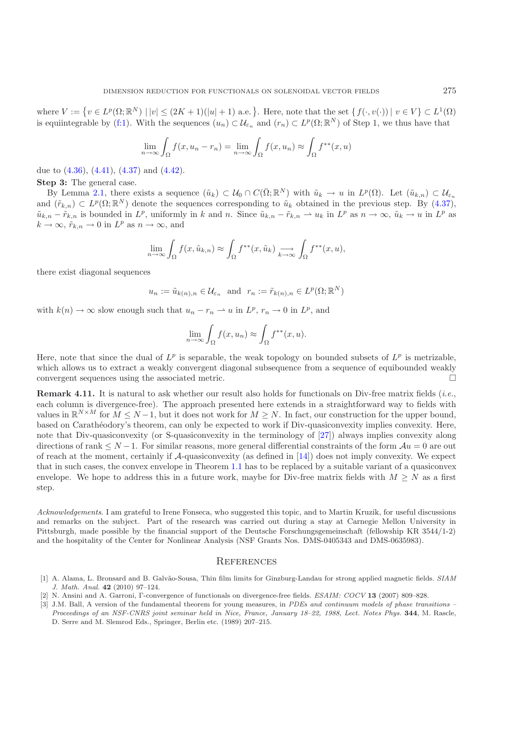where  $V := \{v \in L^p(\Omega; \mathbb{R}^N) \mid |v| \leq (2K+1)(|u|+1) \text{ a.e.}\}\.$  Here, note that the set  $\{f(\cdot, v(\cdot)) \mid v \in V\} \subset L^1(\Omega)$ is equiintegrable by [\(f:1\)](#page-1-3). With the sequences  $(u_n) \subset \mathcal{U}_{\varepsilon_n}$  and  $(r_n) \subset L^p(\Omega; \mathbb{R}^N)$  of Step 1, we thus have that

$$
\lim_{n \to \infty} \int_{\Omega} f(x, u_n - r_n) = \lim_{n \to \infty} \int_{\Omega} f(x, u_n) \approx \int_{\Omega} f^{**}(x, u)
$$

due to [\(4.36\)](#page-14-0), [\(4.41\)](#page-15-3), [\(4.37\)](#page-14-1) and [\(4.42\)](#page-15-4).

**Step 3:** The general case.

By Lemma [2.1,](#page-2-1) there exists a sequence  $(\tilde{u}_k) \subset \mathcal{U}_0 \cap C(\bar{\Omega}; \mathbb{R}^N)$  with  $\tilde{u}_k \to u$  in  $L^p(\Omega)$ . Let  $(\tilde{u}_{k,n}) \subset \mathcal{U}_{\varepsilon_n}$ and  $(\tilde{r}_{k,n}) \subset L^p(\Omega;\mathbb{R}^N)$  denote the sequences corresponding to  $\tilde{u}_k$  obtained in the previous step. By [\(4.37\)](#page-14-1),  $\tilde{u}_{k,n} - \tilde{r}_{k,n}$  is bounded in  $L^p$ , uniformly in k and n. Since  $\tilde{u}_{k,n} - \tilde{r}_{k,n} \to u_k$  in  $L^p$  as  $n \to \infty$ ,  $\tilde{u}_k \to u$  in  $L^p$  as  $k \to \infty$ ,  $\tilde{r}_{k,n} \to 0$  in  $L^p$  as  $n \to \infty$ , and

$$
\lim_{n \to \infty} \int_{\Omega} f(x, \tilde{u}_{k,n}) \approx \int_{\Omega} f^{**}(x, \tilde{u}_k) \underset{k \to \infty}{\longrightarrow} \int_{\Omega} f^{**}(x, u),
$$

there exist diagonal sequences

 $u_n := \tilde{u}_{k(n),n} \in \mathcal{U}_{\varepsilon_n}$  and  $r_n := \tilde{r}_{k(n),n} \in L^p(\Omega;\mathbb{R}^N)$ 

with  $k(n) \to \infty$  slow enough such that  $u_n - r_n \to u$  in  $L^p$ ,  $r_n \to 0$  in  $L^p$ , and

$$
\lim_{n \to \infty} \int_{\Omega} f(x, u_n) \approx \int_{\Omega} f^{**}(x, u).
$$

Here, note that since the dual of  $L^p$  is separable, the weak topology on bounded subsets of  $L^p$  is metrizable, which allows us to extract a weakly convergent diagonal subsequence from a sequence of equibounded weakly convergent sequences using the associated metric.  $\Box$ 

**Remark 4.11.** It is natural to ask whether our result also holds for functionals on Div-free matrix fields (*i.e.*, each column is divergence-free). The approach presented here extends in a straightforward way to fields with values in  $\mathbb{R}^{N\times M}$  for  $M \leq N-1$ , but it does not work for  $M \geq N$ . In fact, our construction for the upper bound, based on Carath´eodory's theorem, can only be expected to work if Div-quasiconvexity implies convexity. Here, note that Div-quasiconvexity (or S-quasiconvexity in the terminology of [\[27\]](#page-17-26)) always implies convexity along directions of rank  $\leq N-1$ . For similar reasons, more general differential constraints of the form  $Au = 0$  are out of reach at the moment, certainly if A-quasiconvexity (as defined in [\[14](#page-17-15)]) does not imply convexity. We expect that in such cases, the convex envelope in Theorem [1.1](#page-2-1) has to be replaced by a suitable variant of a quasiconvex envelope. We hope to address this in a future work, maybe for Div-free matrix fields with  $M \geq N$  as a first step.

*Acknowledgements*. I am grateful to Irene Fonseca, who suggested this topic, and to Martin Kruzik, for useful discussions and remarks on the subject. Part of the research was carried out during a stay at Carnegie Mellon University in Pittsburgh, made possible by the financial support of the Deutsche Forschungsgemeinschaft (fellowship KR 3544/1-2) and the hospitality of the Center for Nonlinear Analysis (NSF Grants Nos. DMS-0405343 and DMS-0635983).

#### **REFERENCES**

- <span id="page-16-0"></span>[1] A. Alama, L. Bronsard and B. Galvão-Sousa, Thin film limits for Ginzburg-Landau for strong applied magnetic fields. SIAM J. Math. Anal. **42** (2010) 97–124.
- <span id="page-16-1"></span>[2] N. Ansini and A. Garroni, Γ-convergence of functionals on divergence-free fields. ESAIM: COCV **13** (2007) 809–828.
- <span id="page-16-2"></span>[3] J.M. Ball, A version of the fundamental theorem for young measures, in PDEs and continuum models of phase transitions – Proceedings of an NSF-CNRS joint seminar held in Nice, France, January 18–22, 1988, Lect. Notes Phys. **344**, M. Rascle, D. Serre and M. Slemrod Eds., Springer, Berlin etc. (1989) 207–215.